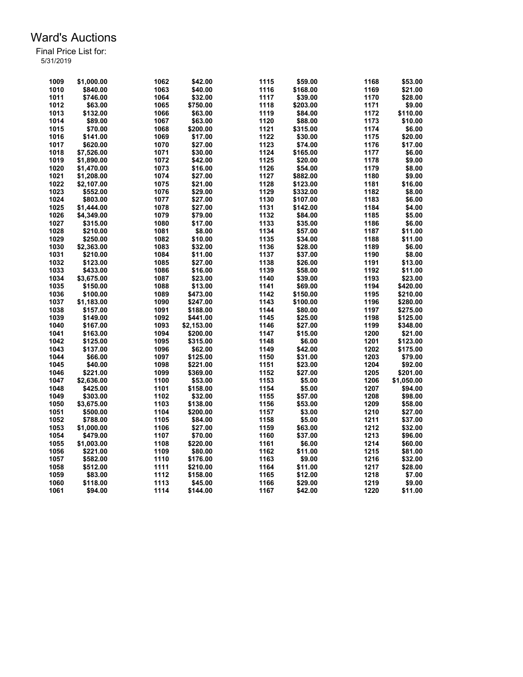| 1009 | \$1,000.00 | 1062 | \$42.00    | 1115 | \$59.00  | 1168 | \$53.00    |
|------|------------|------|------------|------|----------|------|------------|
| 1010 | \$840.00   | 1063 | \$40.00    | 1116 | \$168.00 | 1169 | \$21.00    |
| 1011 | \$746.00   | 1064 | \$32.00    | 1117 | \$39.00  | 1170 | \$28.00    |
| 1012 | \$63.00    | 1065 | \$750.00   | 1118 | \$203.00 | 1171 | \$9.00     |
| 1013 | \$132.00   | 1066 | \$63.00    | 1119 | \$84.00  | 1172 | \$110.00   |
| 1014 | \$89.00    | 1067 | \$63.00    | 1120 | \$88.00  | 1173 | \$10.00    |
| 1015 | \$70.00    | 1068 | \$200.00   | 1121 | \$315.00 | 1174 | \$6.00     |
| 1016 | \$141.00   | 1069 | \$17.00    | 1122 | \$30.00  | 1175 | \$20.00    |
| 1017 | \$620.00   | 1070 | \$27.00    | 1123 | \$74.00  | 1176 | \$17.00    |
| 1018 | \$7,526.00 | 1071 | \$30.00    | 1124 | \$165.00 | 1177 | \$6.00     |
| 1019 | \$1,890.00 | 1072 | \$42.00    | 1125 | \$20.00  | 1178 | \$9.00     |
| 1020 | \$1,470.00 | 1073 | \$16.00    | 1126 | \$54.00  | 1179 | \$8.00     |
| 1021 | \$1,208.00 | 1074 | \$27.00    | 1127 | \$882.00 | 1180 | \$9.00     |
| 1022 | \$2,107.00 | 1075 | \$21.00    | 1128 | \$123.00 | 1181 | \$16.00    |
| 1023 | \$552.00   | 1076 | \$29.00    | 1129 | \$332.00 | 1182 | \$8.00     |
| 1024 | \$803.00   | 1077 | \$27.00    | 1130 | \$107.00 | 1183 | \$6.00     |
| 1025 | \$1,444.00 | 1078 | \$27.00    | 1131 | \$142.00 | 1184 | \$4.00     |
| 1026 | \$4,349.00 | 1079 | \$79.00    | 1132 | \$84.00  | 1185 | \$5.00     |
| 1027 | \$315.00   | 1080 | \$17.00    | 1133 | \$35.00  | 1186 | \$6.00     |
| 1028 | \$210.00   | 1081 | \$8.00     | 1134 | \$57.00  | 1187 | \$11.00    |
| 1029 | \$250.00   | 1082 | \$10.00    | 1135 | \$34.00  | 1188 | \$11.00    |
| 1030 | \$2,363.00 | 1083 | \$32.00    | 1136 | \$28.00  | 1189 | \$6.00     |
| 1031 | \$210.00   | 1084 | \$11.00    | 1137 | \$37.00  | 1190 | \$8.00     |
| 1032 | \$123.00   | 1085 | \$27.00    | 1138 | \$26.00  | 1191 | \$13.00    |
| 1033 | \$433.00   | 1086 | \$16.00    | 1139 | \$58.00  | 1192 | \$11.00    |
| 1034 | \$3,675.00 | 1087 | \$23.00    | 1140 | \$39.00  | 1193 | \$23.00    |
| 1035 | \$150.00   | 1088 | \$13.00    | 1141 | \$69.00  | 1194 | \$420.00   |
| 1036 | \$100.00   | 1089 | \$473.00   | 1142 | \$150.00 | 1195 | \$210.00   |
| 1037 | \$1,183.00 | 1090 | \$247.00   | 1143 | \$100.00 | 1196 | \$280.00   |
| 1038 | \$157.00   | 1091 | \$188.00   | 1144 | \$80.00  | 1197 | \$275.00   |
| 1039 | \$149.00   | 1092 | \$441.00   | 1145 | \$25.00  | 1198 | \$125.00   |
| 1040 | \$167.00   | 1093 | \$2,153.00 | 1146 | \$27.00  | 1199 | \$348.00   |
| 1041 | \$163.00   | 1094 | \$200.00   | 1147 | \$15.00  | 1200 | \$21.00    |
| 1042 | \$125.00   | 1095 | \$315.00   | 1148 | \$6.00   | 1201 | \$123.00   |
| 1043 | \$137.00   | 1096 | \$62.00    | 1149 | \$42.00  | 1202 | \$175.00   |
| 1044 | \$66.00    | 1097 | \$125.00   | 1150 | \$31.00  | 1203 | \$79.00    |
| 1045 | \$40.00    | 1098 | \$221.00   | 1151 | \$23.00  | 1204 | \$92.00    |
| 1046 | \$221.00   | 1099 | \$369.00   | 1152 | \$27.00  | 1205 | \$201.00   |
| 1047 | \$2,636.00 | 1100 | \$53.00    | 1153 | \$5.00   | 1206 | \$1,050.00 |
| 1048 | \$425.00   | 1101 | \$158.00   | 1154 | \$5.00   | 1207 | \$94.00    |
| 1049 | \$303.00   | 1102 | \$32.00    | 1155 | \$57.00  | 1208 | \$98.00    |
| 1050 | \$3,675.00 | 1103 | \$138.00   | 1156 | \$53.00  | 1209 | \$58.00    |
| 1051 | \$500.00   | 1104 | \$200.00   | 1157 | \$3.00   | 1210 | \$27.00    |
| 1052 | \$788.00   | 1105 | \$84.00    | 1158 | \$5.00   | 1211 | \$37.00    |
| 1053 | \$1,000.00 | 1106 | \$27.00    | 1159 | \$63.00  | 1212 | \$32.00    |
| 1054 | \$479.00   | 1107 | \$70.00    | 1160 | \$37.00  | 1213 | \$96.00    |
| 1055 | \$1,003.00 | 1108 | \$220.00   | 1161 | \$6.00   | 1214 | \$60.00    |
| 1056 | \$221.00   | 1109 | \$80.00    | 1162 | \$11.00  | 1215 | \$81.00    |
| 1057 | \$582.00   | 1110 | \$176.00   | 1163 | \$9.00   | 1216 | \$32.00    |
| 1058 | \$512.00   | 1111 | \$210.00   | 1164 | \$11.00  | 1217 | \$28.00    |
| 1059 | \$83.00    | 1112 | \$158.00   | 1165 | \$12.00  | 1218 | \$7.00     |
| 1060 | \$118.00   | 1113 | \$45.00    | 1166 | \$29.00  | 1219 | \$9.00     |
| 1061 | \$94.00    | 1114 | \$144.00   | 1167 | \$42.00  | 1220 | \$11.00    |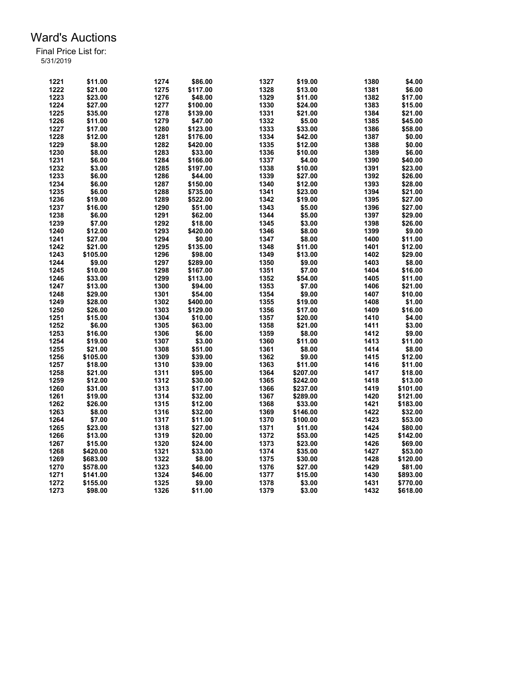| 1221 | \$11.00  | 1274 | \$86.00  | 1327 | \$19.00  | 1380 | \$4.00   |
|------|----------|------|----------|------|----------|------|----------|
| 1222 | \$21.00  | 1275 | \$117.00 | 1328 | \$13.00  | 1381 | \$6.00   |
| 1223 | \$23.00  | 1276 | \$48.00  | 1329 | \$11.00  | 1382 | \$17.00  |
| 1224 | \$27.00  | 1277 | \$100.00 | 1330 | \$24.00  | 1383 | \$15.00  |
| 1225 | \$35.00  | 1278 | \$139.00 | 1331 | \$21.00  | 1384 | \$21.00  |
| 1226 | \$11.00  | 1279 | \$47.00  | 1332 | \$5.00   | 1385 | \$45.00  |
| 1227 | \$17.00  | 1280 | \$123.00 | 1333 | \$33.00  | 1386 | \$58.00  |
| 1228 | \$12.00  | 1281 | \$176.00 | 1334 | \$42.00  | 1387 | \$0.00   |
| 1229 | \$8.00   | 1282 | \$420.00 | 1335 | \$12.00  | 1388 | \$0.00   |
| 1230 | \$8.00   | 1283 | \$33.00  | 1336 | \$10.00  | 1389 | \$6.00   |
| 1231 | \$6.00   | 1284 | \$166.00 | 1337 | \$4.00   | 1390 | \$40.00  |
| 1232 | \$3.00   | 1285 | \$197.00 | 1338 | \$10.00  | 1391 | \$23.00  |
| 1233 |          |      |          | 1339 |          | 1392 |          |
|      | \$6.00   | 1286 | \$44.00  |      | \$27.00  |      | \$26.00  |
| 1234 | \$6.00   | 1287 | \$150.00 | 1340 | \$12.00  | 1393 | \$28.00  |
| 1235 | \$6.00   | 1288 | \$735.00 | 1341 | \$23.00  | 1394 | \$21.00  |
| 1236 | \$19.00  | 1289 | \$522.00 | 1342 | \$19.00  | 1395 | \$27.00  |
| 1237 | \$16.00  | 1290 | \$51.00  | 1343 | \$5.00   | 1396 | \$27.00  |
| 1238 | \$6.00   | 1291 | \$62.00  | 1344 | \$5.00   | 1397 | \$29.00  |
| 1239 | \$7.00   | 1292 | \$18.00  | 1345 | \$3.00   | 1398 | \$26.00  |
| 1240 | \$12.00  | 1293 | \$420.00 | 1346 | \$8.00   | 1399 | \$9.00   |
| 1241 | \$27.00  | 1294 | \$0.00   | 1347 | \$8.00   | 1400 | \$11.00  |
| 1242 | \$21.00  | 1295 | \$135.00 | 1348 | \$11.00  | 1401 | \$12.00  |
| 1243 | \$105.00 | 1296 | \$98.00  | 1349 | \$13.00  | 1402 | \$29.00  |
| 1244 | \$9.00   | 1297 | \$289.00 | 1350 | \$9.00   | 1403 | \$8.00   |
| 1245 | \$10.00  | 1298 | \$167.00 | 1351 | \$7.00   | 1404 | \$16.00  |
| 1246 | \$33.00  | 1299 | \$113.00 | 1352 | \$54.00  | 1405 | \$11.00  |
| 1247 | \$13.00  | 1300 | \$94.00  | 1353 | \$7.00   | 1406 | \$21.00  |
| 1248 | \$29.00  | 1301 | \$54.00  | 1354 | \$9.00   | 1407 | \$10.00  |
| 1249 | \$28.00  | 1302 | \$400.00 | 1355 | \$19.00  | 1408 | \$1.00   |
| 1250 | \$26.00  | 1303 | \$129.00 | 1356 | \$17.00  | 1409 | \$16.00  |
| 1251 | \$15.00  | 1304 | \$10.00  | 1357 | \$20.00  | 1410 | \$4.00   |
| 1252 | \$6.00   | 1305 | \$63.00  | 1358 | \$21.00  | 1411 | \$3.00   |
| 1253 | \$16.00  | 1306 | \$6.00   | 1359 | \$8.00   | 1412 | \$9.00   |
| 1254 | \$19.00  | 1307 | \$3.00   | 1360 | \$11.00  | 1413 | \$11.00  |
| 1255 | \$21.00  | 1308 | \$51.00  | 1361 | \$8.00   | 1414 | \$8.00   |
| 1256 | \$105.00 | 1309 | \$39.00  | 1362 | \$9.00   | 1415 | \$12.00  |
| 1257 | \$18.00  | 1310 | \$39.00  | 1363 | \$11.00  | 1416 | \$11.00  |
| 1258 | \$21.00  | 1311 | \$95.00  | 1364 | \$207.00 | 1417 | \$18.00  |
| 1259 | \$12.00  | 1312 |          | 1365 | \$242.00 | 1418 | \$13.00  |
|      |          |      | \$30.00  |      |          |      |          |
| 1260 | \$31.00  | 1313 | \$17.00  | 1366 | \$237.00 | 1419 | \$101.00 |
| 1261 | \$19.00  | 1314 | \$32.00  | 1367 | \$289.00 | 1420 | \$121.00 |
| 1262 | \$26.00  | 1315 | \$12.00  | 1368 | \$33.00  | 1421 | \$183.00 |
| 1263 | \$8.00   | 1316 | \$32.00  | 1369 | \$146.00 | 1422 | \$32.00  |
| 1264 | \$7.00   | 1317 | \$11.00  | 1370 | \$100.00 | 1423 | \$53.00  |
| 1265 | \$23.00  | 1318 | \$27.00  | 1371 | \$11.00  | 1424 | \$80.00  |
| 1266 | \$13.00  | 1319 | \$20.00  | 1372 | \$53.00  | 1425 | \$142.00 |
| 1267 | \$15.00  | 1320 | \$24.00  | 1373 | \$23.00  | 1426 | \$69.00  |
| 1268 | \$420.00 | 1321 | \$33.00  | 1374 | \$35.00  | 1427 | \$53.00  |
| 1269 | \$683.00 | 1322 | \$8.00   | 1375 | \$30.00  | 1428 | \$120.00 |
| 1270 | \$578.00 | 1323 | \$40.00  | 1376 | \$27.00  | 1429 | \$81.00  |
| 1271 | \$141.00 | 1324 | \$46.00  | 1377 | \$15.00  | 1430 | \$893.00 |
| 1272 | \$155.00 | 1325 | \$9.00   | 1378 | \$3.00   | 1431 | \$770.00 |
| 1273 | \$98.00  | 1326 | \$11.00  | 1379 | \$3.00   | 1432 | \$618.00 |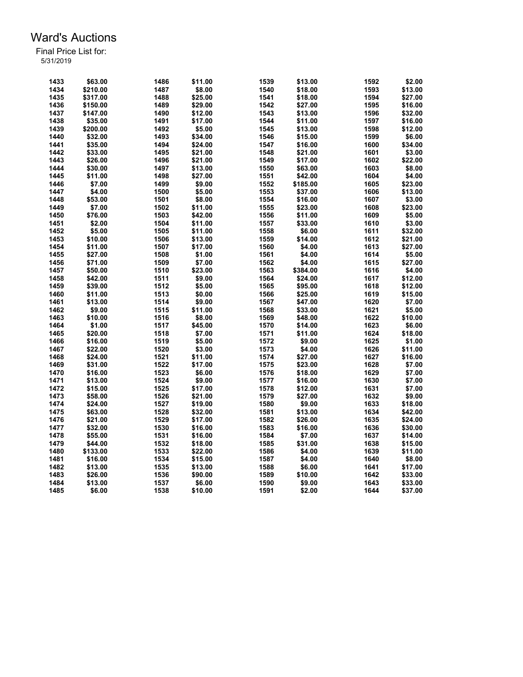| 1433 | \$63.00  | 1486 | \$11.00 | 1539 | \$13.00  | 1592 | \$2.00  |
|------|----------|------|---------|------|----------|------|---------|
| 1434 | \$210.00 | 1487 | \$8.00  | 1540 | \$18.00  | 1593 | \$13.00 |
| 1435 | \$317.00 | 1488 | \$25.00 | 1541 | \$18.00  | 1594 | \$27.00 |
| 1436 | \$150.00 | 1489 | \$29.00 | 1542 | \$27.00  | 1595 | \$16.00 |
| 1437 | \$147.00 | 1490 | \$12.00 | 1543 | \$13.00  | 1596 | \$32.00 |
| 1438 | \$35.00  | 1491 | \$17.00 | 1544 | \$11.00  | 1597 | \$16.00 |
| 1439 | \$200.00 | 1492 | \$5.00  | 1545 | \$13.00  | 1598 | \$12.00 |
| 1440 | \$32.00  | 1493 | \$34.00 | 1546 | \$15.00  | 1599 | \$6.00  |
| 1441 | \$35.00  | 1494 | \$24.00 | 1547 | \$16.00  | 1600 | \$34.00 |
| 1442 | \$33.00  | 1495 | \$21.00 | 1548 | \$21.00  | 1601 | \$3.00  |
| 1443 | \$26.00  | 1496 | \$21.00 | 1549 | \$17.00  | 1602 | \$22.00 |
| 1444 | \$30.00  | 1497 | \$13.00 | 1550 | \$63.00  | 1603 | \$8.00  |
| 1445 | \$11.00  | 1498 | \$27.00 | 1551 | \$42.00  | 1604 | \$4.00  |
| 1446 | \$7.00   | 1499 | \$9.00  | 1552 | \$185.00 | 1605 | \$23.00 |
| 1447 | \$4.00   | 1500 | \$5.00  | 1553 | \$37.00  | 1606 | \$13.00 |
| 1448 | \$53.00  | 1501 | \$8.00  | 1554 | \$16.00  | 1607 | \$3.00  |
| 1449 | \$7.00   | 1502 | \$11.00 | 1555 | \$23.00  | 1608 | \$23.00 |
| 1450 | \$76.00  | 1503 | \$42.00 | 1556 | \$11.00  | 1609 | \$5.00  |
| 1451 | \$2.00   | 1504 | \$11.00 | 1557 | \$33.00  | 1610 | \$3.00  |
| 1452 | \$5.00   | 1505 | \$11.00 | 1558 | \$6.00   | 1611 | \$32.00 |
| 1453 | \$10.00  | 1506 | \$13.00 | 1559 | \$14.00  | 1612 | \$21.00 |
| 1454 | \$11.00  | 1507 | \$17.00 | 1560 | \$4.00   | 1613 | \$27.00 |
| 1455 | \$27.00  | 1508 | \$1.00  | 1561 | \$4.00   | 1614 | \$5.00  |
|      |          |      |         |      |          |      |         |
| 1456 | \$71.00  | 1509 | \$7.00  | 1562 | \$4.00   | 1615 | \$27.00 |
| 1457 | \$50.00  | 1510 | \$23.00 | 1563 | \$384.00 | 1616 | \$4.00  |
| 1458 | \$42.00  | 1511 | \$9.00  | 1564 | \$24.00  | 1617 | \$12.00 |
| 1459 | \$39.00  | 1512 | \$5.00  | 1565 | \$95.00  | 1618 | \$12.00 |
| 1460 | \$11.00  | 1513 | \$0.00  | 1566 | \$25.00  | 1619 | \$15.00 |
| 1461 | \$13.00  | 1514 | \$9.00  | 1567 | \$47.00  | 1620 | \$7.00  |
| 1462 | \$9.00   | 1515 | \$11.00 | 1568 | \$33.00  | 1621 | \$5.00  |
| 1463 | \$10.00  | 1516 | \$8.00  | 1569 | \$48.00  | 1622 | \$10.00 |
| 1464 | \$1.00   | 1517 | \$45.00 | 1570 | \$14.00  | 1623 | \$6.00  |
| 1465 | \$20.00  | 1518 | \$7.00  | 1571 | \$11.00  | 1624 | \$18.00 |
| 1466 | \$16.00  | 1519 | \$5.00  | 1572 | \$9.00   | 1625 | \$1.00  |
| 1467 | \$22.00  | 1520 | \$3.00  | 1573 | \$4.00   | 1626 | \$11.00 |
| 1468 | \$24.00  | 1521 | \$11.00 | 1574 | \$27.00  | 1627 | \$16.00 |
| 1469 | \$31.00  | 1522 | \$17.00 | 1575 | \$23.00  | 1628 | \$7.00  |
| 1470 | \$16.00  | 1523 | \$6.00  | 1576 | \$18.00  | 1629 | \$7.00  |
| 1471 | \$13.00  | 1524 | \$9.00  | 1577 | \$16.00  | 1630 | \$7.00  |
| 1472 | \$15.00  | 1525 | \$17.00 | 1578 | \$12.00  | 1631 | \$7.00  |
| 1473 | \$58.00  | 1526 | \$21.00 | 1579 | \$27.00  | 1632 | \$9.00  |
| 1474 | \$24.00  | 1527 | \$19.00 | 1580 | \$9.00   | 1633 | \$18.00 |
| 1475 | \$63.00  | 1528 | \$32.00 | 1581 | \$13.00  | 1634 | \$42.00 |
| 1476 | \$21.00  | 1529 | \$17.00 | 1582 | \$26.00  | 1635 | \$24.00 |
| 1477 | \$32.00  | 1530 | \$16.00 | 1583 | \$16.00  | 1636 | \$30.00 |
| 1478 | \$55.00  | 1531 | \$16.00 | 1584 | \$7.00   | 1637 | \$14.00 |
| 1479 | \$44.00  | 1532 | \$18.00 | 1585 | \$31.00  | 1638 | \$15.00 |
| 1480 | \$133.00 | 1533 | \$22.00 | 1586 | \$4.00   | 1639 | \$11.00 |
| 1481 | \$16.00  | 1534 | \$15.00 | 1587 | \$4.00   | 1640 | \$8.00  |
| 1482 | \$13.00  | 1535 | \$13.00 | 1588 | \$6.00   | 1641 | \$17.00 |
| 1483 | \$26.00  | 1536 | \$90.00 | 1589 | \$10.00  | 1642 | \$33.00 |
| 1484 | \$13.00  | 1537 | \$6.00  | 1590 | \$9.00   | 1643 | \$33.00 |
| 1485 | \$6.00   | 1538 | \$10.00 | 1591 | \$2.00   | 1644 | \$37.00 |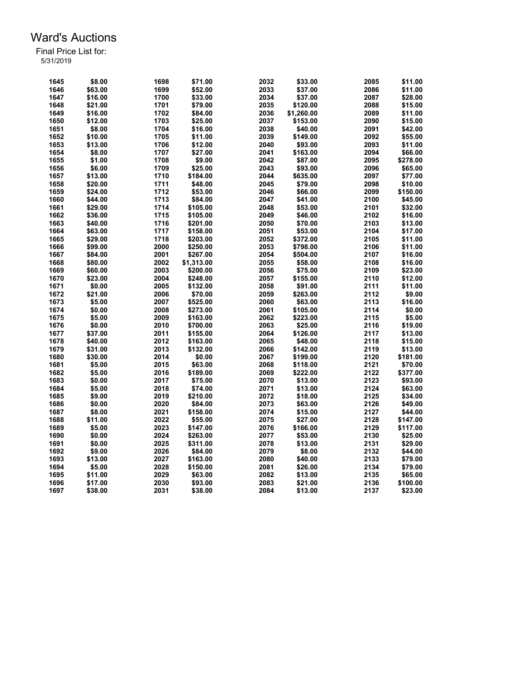| 1645 | \$8.00  | 1698 | \$71.00    | 2032 | \$33.00    | 2085 | \$11.00  |
|------|---------|------|------------|------|------------|------|----------|
| 1646 | \$63.00 | 1699 | \$52.00    | 2033 | \$37.00    | 2086 | \$11.00  |
| 1647 | \$16.00 | 1700 | \$33.00    | 2034 | \$37.00    | 2087 | \$28.00  |
| 1648 | \$21.00 | 1701 | \$79.00    | 2035 | \$120.00   | 2088 | \$15.00  |
| 1649 | \$16.00 | 1702 | \$84.00    | 2036 | \$1,260.00 | 2089 | \$11.00  |
| 1650 | \$12.00 | 1703 | \$25.00    | 2037 | \$153.00   | 2090 | \$15.00  |
| 1651 | \$8.00  | 1704 | \$16.00    | 2038 | \$40.00    | 2091 | \$42.00  |
| 1652 | \$10.00 | 1705 | \$11.00    | 2039 | \$149.00   | 2092 | \$55.00  |
| 1653 | \$13.00 | 1706 | \$12.00    | 2040 | \$93.00    | 2093 | \$11.00  |
| 1654 | \$8.00  | 1707 | \$27.00    | 2041 | \$163.00   | 2094 | \$66.00  |
| 1655 | \$1.00  | 1708 | \$9.00     | 2042 | \$87.00    | 2095 | \$278.00 |
| 1656 | \$6.00  | 1709 | \$25.00    | 2043 | \$93.00    | 2096 | \$65.00  |
| 1657 | \$13.00 | 1710 | \$184.00   | 2044 | \$635.00   | 2097 | \$77.00  |
| 1658 | \$20.00 | 1711 | \$48.00    | 2045 | \$79.00    | 2098 | \$10.00  |
| 1659 | \$24.00 | 1712 | \$53.00    | 2046 | \$66.00    | 2099 | \$150.00 |
| 1660 | \$44.00 | 1713 | \$84.00    | 2047 | \$41.00    | 2100 | \$45.00  |
| 1661 | \$29.00 | 1714 | \$105.00   | 2048 | \$53.00    | 2101 | \$32.00  |
| 1662 | \$36.00 | 1715 | \$105.00   | 2049 | \$46.00    | 2102 | \$16.00  |
| 1663 | \$40.00 | 1716 | \$201.00   | 2050 | \$70.00    | 2103 | \$13.00  |
| 1664 |         | 1717 |            | 2051 |            | 2104 |          |
|      | \$63.00 |      | \$158.00   |      | \$53.00    |      | \$17.00  |
| 1665 | \$29.00 | 1718 | \$203.00   | 2052 | \$372.00   | 2105 | \$11.00  |
| 1666 | \$99.00 | 2000 | \$250.00   | 2053 | \$798.00   | 2106 | \$11.00  |
| 1667 | \$84.00 | 2001 | \$267.00   | 2054 | \$504.00   | 2107 | \$16.00  |
| 1668 | \$80.00 | 2002 | \$1,313.00 | 2055 | \$58.00    | 2108 | \$16.00  |
| 1669 | \$60.00 | 2003 | \$200.00   | 2056 | \$75.00    | 2109 | \$23.00  |
| 1670 | \$23.00 | 2004 | \$248.00   | 2057 | \$155.00   | 2110 | \$12.00  |
| 1671 | \$0.00  | 2005 | \$132.00   | 2058 | \$91.00    | 2111 | \$11.00  |
| 1672 | \$21.00 | 2006 | \$70.00    | 2059 | \$263.00   | 2112 | \$9.00   |
| 1673 | \$5.00  | 2007 | \$525.00   | 2060 | \$63.00    | 2113 | \$16.00  |
| 1674 | \$0.00  | 2008 | \$273.00   | 2061 | \$105.00   | 2114 | \$0.00   |
| 1675 | \$5.00  | 2009 | \$163.00   | 2062 | \$223.00   | 2115 | \$5.00   |
| 1676 | \$0.00  | 2010 | \$700.00   | 2063 | \$25.00    | 2116 | \$19.00  |
| 1677 | \$37.00 | 2011 | \$155.00   | 2064 | \$126.00   | 2117 | \$13.00  |
| 1678 | \$40.00 | 2012 | \$163.00   | 2065 | \$48.00    | 2118 | \$15.00  |
| 1679 | \$31.00 | 2013 | \$132.00   | 2066 | \$142.00   | 2119 | \$13.00  |
| 1680 | \$30.00 | 2014 | \$0.00     | 2067 | \$199.00   | 2120 | \$181.00 |
| 1681 | \$5.00  | 2015 | \$63.00    | 2068 | \$118.00   | 2121 | \$70.00  |
| 1682 | \$5.00  | 2016 | \$189.00   | 2069 | \$222.00   | 2122 | \$377.00 |
| 1683 | \$0.00  | 2017 | \$75.00    | 2070 | \$13.00    | 2123 | \$93.00  |
| 1684 | \$5.00  | 2018 | \$74.00    | 2071 | \$13.00    | 2124 | \$63.00  |
| 1685 | \$9.00  | 2019 | \$210.00   | 2072 | \$18.00    | 2125 | \$34.00  |
| 1686 | \$0.00  | 2020 | \$84.00    | 2073 | \$63.00    | 2126 | \$49.00  |
| 1687 | \$8.00  | 2021 | \$158.00   | 2074 | \$15.00    | 2127 | \$44.00  |
| 1688 | \$11.00 | 2022 | \$55.00    | 2075 | \$27.00    | 2128 | \$147.00 |
| 1689 | \$5.00  | 2023 | \$147.00   | 2076 | \$166.00   | 2129 | \$117.00 |
| 1690 | \$0.00  | 2024 | \$263.00   | 2077 | \$53.00    | 2130 | \$25.00  |
| 1691 | \$0.00  | 2025 | \$311.00   | 2078 | \$13.00    | 2131 | \$29.00  |
| 1692 | \$9.00  | 2026 | \$84.00    | 2079 | \$8.00     | 2132 | \$44.00  |
| 1693 | \$13.00 | 2027 | \$163.00   | 2080 | \$40.00    | 2133 | \$79.00  |
| 1694 | \$5.00  | 2028 | \$150.00   | 2081 | \$26.00    | 2134 | \$79.00  |
|      |         | 2029 |            |      |            | 2135 |          |
| 1695 | \$11.00 |      | \$63.00    | 2082 | \$13.00    |      | \$65.00  |
| 1696 | \$17.00 | 2030 | \$93.00    | 2083 | \$21.00    | 2136 | \$100.00 |
| 1697 | \$38.00 | 2031 | \$38.00    | 2084 | \$13.00    | 2137 | \$23.00  |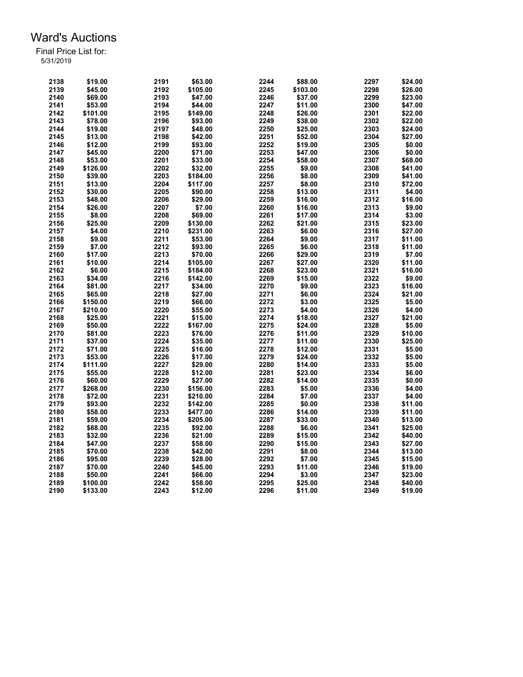| 2138         | \$19.00          | 2191         | \$63.00  | 2244 | \$88.00  | 2297         | \$24.00 |
|--------------|------------------|--------------|----------|------|----------|--------------|---------|
| 2139         | \$45.00          | 2192         | \$105.00 | 2245 | \$103.00 | 2298         | \$26.00 |
| 2140         | \$69.00          | 2193         | \$47.00  | 2246 | \$37.00  | 2299         | \$23.00 |
| 2141         | \$53.00          | 2194         | \$44.00  | 2247 | \$11.00  | 2300         | \$47.00 |
| 2142         | \$101.00         | 2195         | \$149.00 | 2248 | \$26.00  | 2301         | \$22.00 |
| 2143         | \$78.00          | 2196         | \$93.00  | 2249 | \$38.00  | 2302         | \$22.00 |
| 2144         | \$19.00          | 2197         | \$48.00  | 2250 | \$25.00  | 2303         | \$24.00 |
| 2145         | \$13.00          | 2198         | \$42.00  | 2251 | \$52.00  | 2304         | \$27.00 |
| 2146         | \$12.00          | 2199         | \$93.00  | 2252 | \$19.00  | 2305         | \$0.00  |
| 2147         | \$45.00          | 2200         | \$71.00  | 2253 | \$47.00  | 2306         | \$0.00  |
| 2148         | \$53.00          | 2201         | \$33.00  | 2254 | \$58.00  | 2307         | \$68.00 |
| 2149         | \$126.00         | 2202         | \$32.00  | 2255 | \$9.00   | 2308         | \$41.00 |
| 2150         | \$39.00          | 2203         | \$184.00 | 2256 | \$8.00   | 2309         | \$41.00 |
| 2151         | \$13.00          | 2204         | \$117.00 | 2257 | \$8.00   | 2310         | \$72.00 |
| 2152         | \$30.00          | 2205         | \$90.00  | 2258 | \$13.00  | 2311         | \$4.00  |
| 2153         | \$48.00          | 2206         | \$29.00  | 2259 | \$16.00  | 2312         | \$16.00 |
| 2154         | \$26.00          | 2207         | \$7.00   | 2260 | \$16.00  | 2313         | \$9.00  |
| 2155         | \$8.00           | 2208         | \$69.00  | 2261 | \$17.00  | 2314         | \$3.00  |
|              | \$25.00          | 2209         |          | 2262 |          | 2315         |         |
| 2156         |                  |              | \$130.00 | 2263 | \$21.00  |              | \$23.00 |
| 2157<br>2158 | \$4.00<br>\$9.00 | 2210<br>2211 | \$231.00 | 2264 | \$6.00   | 2316<br>2317 | \$27.00 |
|              |                  |              | \$53.00  |      | \$9.00   | 2318         | \$11.00 |
| 2159         | \$7.00           | 2212         | \$93.00  | 2265 | \$6.00   |              | \$11.00 |
| 2160         | \$17.00          | 2213         | \$70.00  | 2266 | \$29.00  | 2319         | \$7.00  |
| 2161         | \$10.00          | 2214         | \$105.00 | 2267 | \$27.00  | 2320         | \$11.00 |
| 2162         | \$6.00           | 2215         | \$184.00 | 2268 | \$23.00  | 2321         | \$16.00 |
| 2163         | \$34.00          | 2216         | \$142.00 | 2269 | \$15.00  | 2322         | \$9.00  |
| 2164         | \$81.00          | 2217         | \$34.00  | 2270 | \$9.00   | 2323         | \$16.00 |
| 2165         | \$65.00          | 2218         | \$27.00  | 2271 | \$6.00   | 2324         | \$21.00 |
| 2166         | \$150.00         | 2219         | \$66.00  | 2272 | \$3.00   | 2325         | \$5.00  |
| 2167         | \$210.00         | 2220         | \$55.00  | 2273 | \$4.00   | 2326         | \$4.00  |
| 2168         | \$25.00          | 2221         | \$15.00  | 2274 | \$18.00  | 2327         | \$21.00 |
| 2169         | \$50.00          | 2222         | \$167.00 | 2275 | \$24.00  | 2328         | \$5.00  |
| 2170         | \$81.00          | 2223         | \$76.00  | 2276 | \$11.00  | 2329         | \$10.00 |
| 2171         | \$37.00          | 2224         | \$35.00  | 2277 | \$11.00  | 2330         | \$25.00 |
| 2172         | \$71.00          | 2225         | \$16.00  | 2278 | \$12.00  | 2331         | \$5.00  |
| 2173         | \$53.00          | 2226         | \$17.00  | 2279 | \$24.00  | 2332         | \$5.00  |
| 2174         | \$111.00         | 2227         | \$29.00  | 2280 | \$14.00  | 2333         | \$5.00  |
| 2175         | \$55.00          | 2228         | \$12.00  | 2281 | \$23.00  | 2334         | \$6.00  |
| 2176         | \$60.00          | 2229         | \$27.00  | 2282 | \$14.00  | 2335         | \$0.00  |
| 2177         | \$268.00         | 2230         | \$156.00 | 2283 | \$5.00   | 2336         | \$4.00  |
| 2178         | \$72.00          | 2231         | \$210.00 | 2284 | \$7.00   | 2337         | \$4.00  |
| 2179         | \$93.00          | 2232         | \$142.00 | 2285 | \$0.00   | 2338         | \$11.00 |
| 2180         | \$58.00          | 2233         | \$477.00 | 2286 | \$14.00  | 2339         | \$11.00 |
| 2181         | \$59.00          | 2234         | \$205.00 | 2287 | \$33.00  | 2340         | \$13.00 |
| 2182         | \$88.00          | 2235         | \$92.00  | 2288 | \$6.00   | 2341         | \$25.00 |
| 2183         | \$32.00          | 2236         | \$21.00  | 2289 | \$15.00  | 2342         | \$40.00 |
| 2184         | \$47.00          | 2237         | \$58.00  | 2290 | \$15.00  | 2343         | \$27.00 |
| 2185         | \$70.00          | 2238         | \$42.00  | 2291 | \$8.00   | 2344         | \$13.00 |
| 2186         | \$95.00          | 2239         | \$28.00  | 2292 | \$7.00   | 2345         | \$15.00 |
| 2187         | \$70.00          | 2240         | \$45.00  | 2293 | \$11.00  | 2346         | \$19.00 |
| 2188         | \$50.00          | 2241         | \$66.00  | 2294 | \$3.00   | 2347         | \$23.00 |
| 2189         | \$100.00         | 2242         | \$58.00  | 2295 | \$25.00  | 2348         | \$40.00 |
| 2190         | \$133.00         | 2243         | \$12.00  | 2296 | \$11.00  | 2349         | \$19.00 |
|              |                  |              |          |      |          |              |         |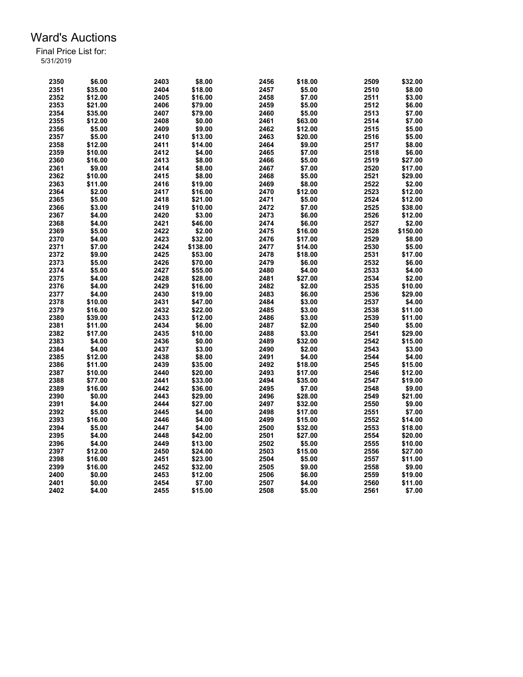| 2350 | \$6.00  | 2403 | \$8.00   | 2456 | \$18.00 | 2509 | \$32.00  |
|------|---------|------|----------|------|---------|------|----------|
| 2351 | \$35.00 | 2404 | \$18.00  | 2457 | \$5.00  | 2510 | \$8.00   |
| 2352 | \$12.00 | 2405 | \$16.00  | 2458 | \$7.00  | 2511 | \$3.00   |
| 2353 | \$21.00 | 2406 | \$79.00  | 2459 | \$5.00  | 2512 | \$6.00   |
| 2354 | \$35.00 | 2407 | \$79.00  | 2460 | \$5.00  | 2513 | \$7.00   |
| 2355 | \$12.00 | 2408 | \$0.00   | 2461 | \$63.00 | 2514 | \$7.00   |
| 2356 | \$5.00  | 2409 | \$9.00   | 2462 | \$12.00 | 2515 | \$5.00   |
| 2357 | \$5.00  | 2410 | \$13.00  | 2463 | \$20.00 | 2516 | \$5.00   |
| 2358 | \$12.00 | 2411 | \$14.00  | 2464 | \$9.00  | 2517 | \$8.00   |
| 2359 | \$10.00 | 2412 | \$4.00   | 2465 | \$7.00  | 2518 | \$6.00   |
| 2360 | \$16.00 | 2413 | \$8.00   | 2466 | \$5.00  | 2519 | \$27.00  |
| 2361 | \$9.00  | 2414 | \$8.00   | 2467 | \$7.00  | 2520 | \$17.00  |
|      |         |      |          |      |         |      |          |
| 2362 | \$10.00 | 2415 | \$8.00   | 2468 | \$5.00  | 2521 | \$29.00  |
| 2363 | \$11.00 | 2416 | \$19.00  | 2469 | \$8.00  | 2522 | \$2.00   |
| 2364 | \$2.00  | 2417 | \$16.00  | 2470 | \$12.00 | 2523 | \$12.00  |
| 2365 | \$5.00  | 2418 | \$21.00  | 2471 | \$5.00  | 2524 | \$12.00  |
| 2366 | \$3.00  | 2419 | \$10.00  | 2472 | \$7.00  | 2525 | \$38.00  |
| 2367 | \$4.00  | 2420 | \$3.00   | 2473 | \$6.00  | 2526 | \$12.00  |
| 2368 | \$4.00  | 2421 | \$46.00  | 2474 | \$6.00  | 2527 | \$2.00   |
| 2369 | \$5.00  | 2422 | \$2.00   | 2475 | \$16.00 | 2528 | \$150.00 |
| 2370 | \$4.00  | 2423 | \$32.00  | 2476 | \$17.00 | 2529 | \$8.00   |
| 2371 | \$7.00  | 2424 | \$138.00 | 2477 | \$14.00 | 2530 | \$5.00   |
| 2372 | \$9.00  | 2425 | \$53.00  | 2478 | \$18.00 | 2531 | \$17.00  |
| 2373 | \$5.00  | 2426 | \$70.00  | 2479 | \$6.00  | 2532 | \$6.00   |
| 2374 | \$5.00  | 2427 | \$55.00  | 2480 | \$4.00  | 2533 | \$4.00   |
| 2375 | \$4.00  | 2428 | \$28.00  | 2481 | \$27.00 | 2534 | \$2.00   |
| 2376 | \$4.00  | 2429 | \$16.00  | 2482 | \$2.00  | 2535 | \$10.00  |
| 2377 | \$4.00  | 2430 | \$19.00  | 2483 | \$6.00  | 2536 | \$29.00  |
| 2378 | \$10.00 | 2431 | \$47.00  | 2484 | \$3.00  | 2537 | \$4.00   |
| 2379 | \$16.00 | 2432 | \$22.00  | 2485 | \$3.00  | 2538 | \$11.00  |
| 2380 | \$39.00 | 2433 | \$12.00  | 2486 | \$3.00  | 2539 | \$11.00  |
| 2381 | \$11.00 | 2434 | \$6.00   | 2487 | \$2.00  | 2540 | \$5.00   |
| 2382 | \$17.00 | 2435 | \$10.00  | 2488 | \$3.00  | 2541 | \$29.00  |
| 2383 | \$4.00  | 2436 | \$0.00   | 2489 | \$32.00 | 2542 | \$15.00  |
| 2384 | \$4.00  | 2437 | \$3.00   | 2490 | \$2.00  | 2543 | \$3.00   |
| 2385 | \$12.00 | 2438 | \$8.00   | 2491 | \$4.00  | 2544 | \$4.00   |
|      |         |      |          |      |         |      |          |
| 2386 | \$11.00 | 2439 | \$35.00  | 2492 | \$18.00 | 2545 | \$15.00  |
| 2387 | \$10.00 | 2440 | \$20.00  | 2493 | \$17.00 | 2546 | \$12.00  |
| 2388 | \$77.00 | 2441 | \$33.00  | 2494 | \$35.00 | 2547 | \$19.00  |
| 2389 | \$16.00 | 2442 | \$36.00  | 2495 | \$7.00  | 2548 | \$9.00   |
| 2390 | \$0.00  | 2443 | \$29.00  | 2496 | \$28.00 | 2549 | \$21.00  |
| 2391 | \$4.00  | 2444 | \$27.00  | 2497 | \$32.00 | 2550 | \$9.00   |
| 2392 | \$5.00  | 2445 | \$4.00   | 2498 | \$17.00 | 2551 | \$7.00   |
| 2393 | \$16.00 | 2446 | \$4.00   | 2499 | \$15.00 | 2552 | \$14.00  |
| 2394 | \$5.00  | 2447 | \$4.00   | 2500 | \$32.00 | 2553 | \$18.00  |
| 2395 | \$4.00  | 2448 | \$42.00  | 2501 | \$27.00 | 2554 | \$20.00  |
| 2396 | \$4.00  | 2449 | \$13.00  | 2502 | \$5.00  | 2555 | \$10.00  |
| 2397 | \$12.00 | 2450 | \$24.00  | 2503 | \$15.00 | 2556 | \$27.00  |
| 2398 | \$16.00 | 2451 | \$23.00  | 2504 | \$5.00  | 2557 | \$11.00  |
| 2399 | \$16.00 | 2452 | \$32.00  | 2505 | \$9.00  | 2558 | \$9.00   |
| 2400 | \$0.00  | 2453 | \$12.00  | 2506 | \$6.00  | 2559 | \$19.00  |
| 2401 | \$0.00  | 2454 | \$7.00   | 2507 | \$4.00  | 2560 | \$11.00  |
| 2402 | \$4.00  | 2455 | \$15.00  | 2508 | \$5.00  | 2561 | \$7.00   |
|      |         |      |          |      |         |      |          |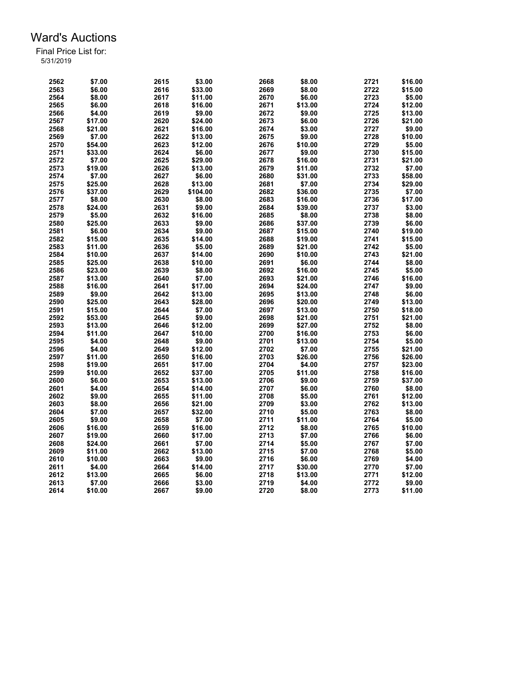| 2562 | \$7.00  | 2615 | \$3.00            | 2668 | \$8.00             | 2721 | \$16.00 |
|------|---------|------|-------------------|------|--------------------|------|---------|
| 2563 | \$6.00  | 2616 | \$33.00           | 2669 | \$8.00             | 2722 | \$15.00 |
| 2564 | \$8.00  | 2617 | \$11.00           | 2670 | \$6.00             | 2723 | \$5.00  |
| 2565 | \$6.00  | 2618 | \$16.00           | 2671 | \$13.00            | 2724 | \$12.00 |
| 2566 | \$4.00  | 2619 | \$9.00            | 2672 | \$9.00             | 2725 | \$13.00 |
| 2567 | \$17.00 | 2620 | \$24.00           | 2673 | \$6.00             | 2726 | \$21.00 |
| 2568 | \$21.00 | 2621 | \$16.00           | 2674 | \$3.00             | 2727 | \$9.00  |
| 2569 | \$7.00  | 2622 | \$13.00           | 2675 | \$9.00             | 2728 | \$10.00 |
| 2570 | \$54.00 | 2623 | \$12.00           | 2676 | \$10.00            | 2729 | \$5.00  |
| 2571 | \$33.00 | 2624 | \$6.00            | 2677 | \$9.00             | 2730 | \$15.00 |
| 2572 | \$7.00  | 2625 | \$29.00           | 2678 | \$16.00            | 2731 | \$21.00 |
| 2573 | \$19.00 | 2626 | \$13.00           | 2679 | \$11.00            | 2732 | \$7.00  |
| 2574 | \$7.00  | 2627 | \$6.00            | 2680 | \$31.00            | 2733 | \$58.00 |
| 2575 | \$25.00 | 2628 | \$13.00           | 2681 | \$7.00             | 2734 | \$29.00 |
| 2576 | \$37.00 | 2629 | \$104.00          | 2682 | \$36.00            | 2735 | \$7.00  |
| 2577 | \$8.00  | 2630 | \$8.00            | 2683 | \$16.00            | 2736 | \$17.00 |
| 2578 | \$24.00 | 2631 | \$9.00            | 2684 | \$39.00            | 2737 | \$3.00  |
| 2579 | \$5.00  | 2632 | \$16.00           | 2685 | \$8.00             | 2738 | \$8.00  |
| 2580 | \$25.00 | 2633 | \$9.00            | 2686 | \$37.00            | 2739 | \$6.00  |
| 2581 | \$6.00  | 2634 | \$9.00            | 2687 | \$15.00            | 2740 | \$19.00 |
| 2582 | \$15.00 | 2635 |                   | 2688 |                    | 2741 | \$15.00 |
| 2583 | \$11.00 | 2636 | \$14.00<br>\$5.00 | 2689 | \$19.00<br>\$21.00 | 2742 | \$5.00  |
|      |         |      |                   | 2690 |                    | 2743 |         |
| 2584 | \$10.00 | 2637 | \$14.00           |      | \$10.00            |      | \$21.00 |
| 2585 | \$25.00 | 2638 | \$10.00           | 2691 | \$6.00             | 2744 | \$8.00  |
| 2586 | \$23.00 | 2639 | \$8.00            | 2692 | \$16.00            | 2745 | \$5.00  |
| 2587 | \$13.00 | 2640 | \$7.00            | 2693 | \$21.00            | 2746 | \$16.00 |
| 2588 | \$16.00 | 2641 | \$17.00           | 2694 | \$24.00            | 2747 | \$9.00  |
| 2589 | \$9.00  | 2642 | \$13.00           | 2695 | \$13.00            | 2748 | \$6.00  |
| 2590 | \$25.00 | 2643 | \$28.00           | 2696 | \$20.00            | 2749 | \$13.00 |
| 2591 | \$15.00 | 2644 | \$7.00            | 2697 | \$13.00            | 2750 | \$18.00 |
| 2592 | \$53.00 | 2645 | \$9.00            | 2698 | \$21.00            | 2751 | \$21.00 |
| 2593 | \$13.00 | 2646 | \$12.00           | 2699 | \$27.00            | 2752 | \$8.00  |
| 2594 | \$11.00 | 2647 | \$10.00           | 2700 | \$16.00            | 2753 | \$6.00  |
| 2595 | \$4.00  | 2648 | \$9.00            | 2701 | \$13.00            | 2754 | \$5.00  |
| 2596 | \$4.00  | 2649 | \$12.00           | 2702 | \$7.00             | 2755 | \$21.00 |
| 2597 | \$11.00 | 2650 | \$16.00           | 2703 | \$26.00            | 2756 | \$26.00 |
| 2598 | \$19.00 | 2651 | \$17.00           | 2704 | \$4.00             | 2757 | \$23.00 |
| 2599 | \$10.00 | 2652 | \$37.00           | 2705 | \$11.00            | 2758 | \$16.00 |
| 2600 | \$6.00  | 2653 | \$13.00           | 2706 | \$9.00             | 2759 | \$37.00 |
| 2601 | \$4.00  | 2654 | \$14.00           | 2707 | \$6.00             | 2760 | \$8.00  |
| 2602 | \$9.00  | 2655 | \$11.00           | 2708 | \$5.00             | 2761 | \$12.00 |
| 2603 | \$8.00  | 2656 | \$21.00           | 2709 | \$3.00             | 2762 | \$13.00 |
| 2604 | \$7.00  | 2657 | \$32.00           | 2710 | \$5.00             | 2763 | \$8.00  |
| 2605 | \$9.00  | 2658 | \$7.00            | 2711 | \$11.00            | 2764 | \$5.00  |
| 2606 | \$16.00 | 2659 | \$16.00           | 2712 | \$8.00             | 2765 | \$10.00 |
| 2607 | \$19.00 | 2660 | \$17.00           | 2713 | \$7.00             | 2766 | \$6.00  |
| 2608 | \$24.00 | 2661 | \$7.00            | 2714 | \$5.00             | 2767 | \$7.00  |
| 2609 | \$11.00 | 2662 | \$13.00           | 2715 | \$7.00             | 2768 | \$5.00  |
| 2610 | \$10.00 | 2663 | \$9.00            | 2716 | \$6.00             | 2769 | \$4.00  |
| 2611 | \$4.00  | 2664 | \$14.00           | 2717 | \$30.00            | 2770 | \$7.00  |
| 2612 | \$13.00 | 2665 | \$6.00            | 2718 | \$13.00            | 2771 | \$12.00 |
| 2613 | \$7.00  | 2666 | \$3.00            | 2719 | \$4.00             | 2772 | \$9.00  |
| 2614 | \$10.00 | 2667 | \$9.00            | 2720 | \$8.00             | 2773 | \$11.00 |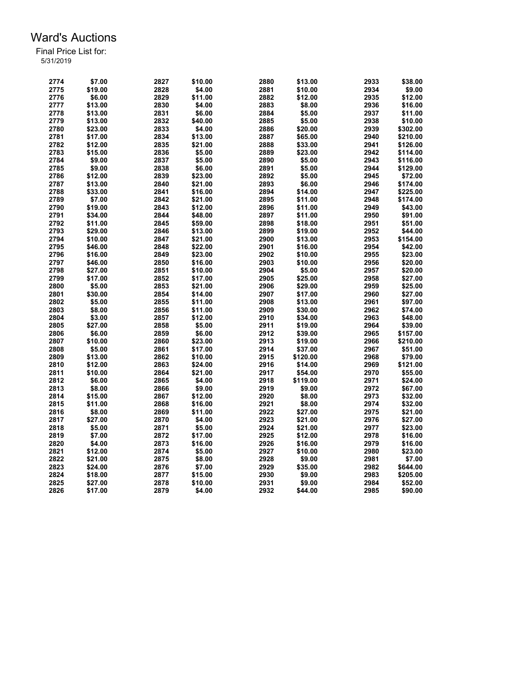| 2774 | \$7.00  | 2827 | \$10.00 | 2880 | \$13.00  | 2933 | \$38.00  |
|------|---------|------|---------|------|----------|------|----------|
| 2775 | \$19.00 | 2828 | \$4.00  | 2881 | \$10.00  | 2934 | \$9.00   |
| 2776 | \$6.00  | 2829 | \$11.00 | 2882 | \$12.00  | 2935 | \$12.00  |
| 2777 | \$13.00 | 2830 | \$4.00  | 2883 | \$8.00   | 2936 | \$16.00  |
| 2778 | \$13.00 | 2831 | \$6.00  | 2884 | \$5.00   | 2937 | \$11.00  |
| 2779 | \$13.00 | 2832 | \$40.00 | 2885 | \$5.00   | 2938 | \$10.00  |
| 2780 | \$23.00 | 2833 | \$4.00  | 2886 | \$20.00  | 2939 | \$302.00 |
| 2781 | \$17.00 | 2834 | \$13.00 | 2887 | \$65.00  | 2940 | \$210.00 |
| 2782 | \$12.00 | 2835 | \$21.00 | 2888 | \$33.00  | 2941 | \$126.00 |
| 2783 | \$15.00 | 2836 | \$5.00  | 2889 | \$23.00  | 2942 | \$114.00 |
| 2784 | \$9.00  | 2837 | \$5.00  | 2890 | \$5.00   | 2943 | \$116.00 |
| 2785 | \$9.00  | 2838 | \$6.00  | 2891 | \$5.00   | 2944 | \$129.00 |
| 2786 | \$12.00 | 2839 | \$23.00 | 2892 | \$5.00   | 2945 | \$72.00  |
| 2787 | \$13.00 | 2840 | \$21.00 | 2893 | \$6.00   | 2946 | \$174.00 |
| 2788 | \$33.00 | 2841 | \$16.00 | 2894 | \$14.00  | 2947 | \$225.00 |
| 2789 | \$7.00  | 2842 | \$21.00 | 2895 | \$11.00  | 2948 | \$174.00 |
| 2790 | \$19.00 | 2843 | \$12.00 | 2896 | \$11.00  | 2949 | \$43.00  |
| 2791 | \$34.00 | 2844 | \$48.00 | 2897 | \$11.00  | 2950 | \$91.00  |
| 2792 | \$11.00 | 2845 | \$59.00 | 2898 | \$18.00  | 2951 | \$51.00  |
| 2793 | \$29.00 | 2846 |         | 2899 |          | 2952 | \$44.00  |
| 2794 |         | 2847 | \$13.00 | 2900 | \$19.00  | 2953 |          |
|      | \$10.00 |      | \$21.00 |      | \$13.00  | 2954 | \$154.00 |
| 2795 | \$46.00 | 2848 | \$22.00 | 2901 | \$16.00  |      | \$42.00  |
| 2796 | \$16.00 | 2849 | \$23.00 | 2902 | \$10.00  | 2955 | \$23.00  |
| 2797 | \$46.00 | 2850 | \$16.00 | 2903 | \$10.00  | 2956 | \$20.00  |
| 2798 | \$27.00 | 2851 | \$10.00 | 2904 | \$5.00   | 2957 | \$20.00  |
| 2799 | \$17.00 | 2852 | \$17.00 | 2905 | \$25.00  | 2958 | \$27.00  |
| 2800 | \$5.00  | 2853 | \$21.00 | 2906 | \$29.00  | 2959 | \$25.00  |
| 2801 | \$30.00 | 2854 | \$14.00 | 2907 | \$17.00  | 2960 | \$27.00  |
| 2802 | \$5.00  | 2855 | \$11.00 | 2908 | \$13.00  | 2961 | \$97.00  |
| 2803 | \$8.00  | 2856 | \$11.00 | 2909 | \$30.00  | 2962 | \$74.00  |
| 2804 | \$3.00  | 2857 | \$12.00 | 2910 | \$34.00  | 2963 | \$48.00  |
| 2805 | \$27.00 | 2858 | \$5.00  | 2911 | \$19.00  | 2964 | \$39.00  |
| 2806 | \$6.00  | 2859 | \$6.00  | 2912 | \$39.00  | 2965 | \$157.00 |
| 2807 | \$10.00 | 2860 | \$23.00 | 2913 | \$19.00  | 2966 | \$210.00 |
| 2808 | \$5.00  | 2861 | \$17.00 | 2914 | \$37.00  | 2967 | \$51.00  |
| 2809 | \$13.00 | 2862 | \$10.00 | 2915 | \$120.00 | 2968 | \$79.00  |
| 2810 | \$12.00 | 2863 | \$24.00 | 2916 | \$14.00  | 2969 | \$121.00 |
| 2811 | \$10.00 | 2864 | \$21.00 | 2917 | \$54.00  | 2970 | \$55.00  |
| 2812 | \$6.00  | 2865 | \$4.00  | 2918 | \$119.00 | 2971 | \$24.00  |
| 2813 | \$8.00  | 2866 | \$9.00  | 2919 | \$9.00   | 2972 | \$67.00  |
| 2814 | \$15.00 | 2867 | \$12.00 | 2920 | \$8.00   | 2973 | \$32.00  |
| 2815 | \$11.00 | 2868 | \$16.00 | 2921 | \$8.00   | 2974 | \$32.00  |
| 2816 | \$8.00  | 2869 | \$11.00 | 2922 | \$27.00  | 2975 | \$21.00  |
| 2817 | \$27.00 | 2870 | \$4.00  | 2923 | \$21.00  | 2976 | \$27.00  |
| 2818 | \$5.00  | 2871 | \$5.00  | 2924 | \$21.00  | 2977 | \$23.00  |
| 2819 | \$7.00  | 2872 | \$17.00 | 2925 | \$12.00  | 2978 | \$16.00  |
| 2820 | \$4.00  | 2873 | \$16.00 | 2926 | \$16.00  | 2979 | \$16.00  |
| 2821 | \$12.00 | 2874 | \$5.00  | 2927 | \$10.00  | 2980 | \$23.00  |
| 2822 | \$21.00 | 2875 | \$8.00  | 2928 | \$9.00   | 2981 | \$7.00   |
| 2823 | \$24.00 | 2876 | \$7.00  | 2929 | \$35.00  | 2982 | \$644.00 |
| 2824 | \$18.00 | 2877 | \$15.00 | 2930 | \$9.00   | 2983 | \$205.00 |
| 2825 | \$27.00 | 2878 | \$10.00 | 2931 | \$9.00   | 2984 | \$52.00  |
| 2826 | \$17.00 | 2879 | \$4.00  | 2932 | \$44.00  | 2985 | \$90.00  |
|      |         |      |         |      |          |      |          |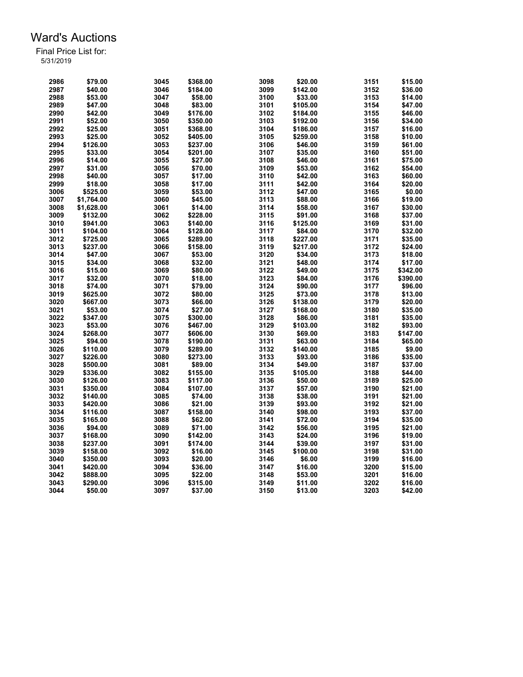| 2986 | \$79.00    | 3045 | \$368.00 | 3098 | \$20.00  | 3151 | \$15.00  |
|------|------------|------|----------|------|----------|------|----------|
| 2987 | \$40.00    | 3046 | \$184.00 | 3099 | \$142.00 | 3152 | \$36.00  |
| 2988 | \$53.00    | 3047 | \$58.00  | 3100 | \$33.00  | 3153 | \$14.00  |
| 2989 | \$47.00    | 3048 | \$83.00  | 3101 | \$105.00 | 3154 | \$47.00  |
| 2990 | \$42.00    | 3049 | \$176.00 | 3102 | \$184.00 | 3155 | \$46.00  |
| 2991 | \$52.00    | 3050 | \$350.00 | 3103 | \$192.00 | 3156 | \$34.00  |
| 2992 | \$25.00    | 3051 | \$368.00 | 3104 | \$186.00 | 3157 | \$16.00  |
| 2993 | \$25.00    | 3052 | \$405.00 | 3105 | \$259.00 | 3158 | \$10.00  |
| 2994 | \$126.00   | 3053 | \$237.00 | 3106 | \$46.00  | 3159 | \$61.00  |
| 2995 | \$33.00    | 3054 | \$201.00 | 3107 | \$35.00  | 3160 | \$51.00  |
| 2996 | \$14.00    | 3055 | \$27.00  | 3108 | \$46.00  | 3161 | \$75.00  |
| 2997 | \$31.00    | 3056 | \$70.00  | 3109 | \$53.00  | 3162 | \$54.00  |
| 2998 | \$40.00    | 3057 | \$17.00  | 3110 | \$42.00  | 3163 | \$60.00  |
| 2999 | \$18.00    | 3058 | \$17.00  | 3111 | \$42.00  | 3164 | \$20.00  |
| 3006 | \$525.00   | 3059 | \$53.00  | 3112 | \$47.00  | 3165 | \$0.00   |
| 3007 | \$1,764.00 | 3060 | \$45.00  | 3113 | \$88.00  | 3166 | \$19.00  |
| 3008 | \$1,628.00 | 3061 | \$14.00  | 3114 | \$58.00  | 3167 | \$30.00  |
| 3009 | \$132.00   | 3062 | \$228.00 | 3115 | \$91.00  | 3168 | \$37.00  |
| 3010 |            |      |          |      |          |      |          |
|      | \$941.00   | 3063 | \$140.00 | 3116 | \$125.00 | 3169 | \$31.00  |
| 3011 | \$104.00   | 3064 | \$128.00 | 3117 | \$84.00  | 3170 | \$32.00  |
| 3012 | \$725.00   | 3065 | \$289.00 | 3118 | \$227.00 | 3171 | \$35.00  |
| 3013 | \$237.00   | 3066 | \$158.00 | 3119 | \$217.00 | 3172 | \$24.00  |
| 3014 | \$47.00    | 3067 | \$53.00  | 3120 | \$34.00  | 3173 | \$18.00  |
| 3015 | \$34.00    | 3068 | \$32.00  | 3121 | \$48.00  | 3174 | \$17.00  |
| 3016 | \$15.00    | 3069 | \$80.00  | 3122 | \$49.00  | 3175 | \$342.00 |
| 3017 | \$32.00    | 3070 | \$18.00  | 3123 | \$84.00  | 3176 | \$390.00 |
| 3018 | \$74.00    | 3071 | \$79.00  | 3124 | \$90.00  | 3177 | \$96.00  |
| 3019 | \$625.00   | 3072 | \$80.00  | 3125 | \$73.00  | 3178 | \$13.00  |
| 3020 | \$667.00   | 3073 | \$66.00  | 3126 | \$138.00 | 3179 | \$20.00  |
| 3021 | \$53.00    | 3074 | \$27.00  | 3127 | \$168.00 | 3180 | \$35.00  |
| 3022 | \$347.00   | 3075 | \$300.00 | 3128 | \$86.00  | 3181 | \$35.00  |
| 3023 | \$53.00    | 3076 | \$467.00 | 3129 | \$103.00 | 3182 | \$93.00  |
| 3024 | \$268.00   | 3077 | \$606.00 | 3130 | \$69.00  | 3183 | \$147.00 |
| 3025 | \$94.00    | 3078 | \$190.00 | 3131 | \$63.00  | 3184 | \$65.00  |
| 3026 | \$110.00   | 3079 | \$289.00 | 3132 | \$140.00 | 3185 | \$9.00   |
| 3027 | \$226.00   | 3080 | \$273.00 | 3133 | \$93.00  | 3186 | \$35.00  |
| 3028 | \$500.00   | 3081 | \$89.00  | 3134 | \$49.00  | 3187 | \$37.00  |
| 3029 | \$336.00   | 3082 | \$155.00 | 3135 | \$105.00 | 3188 | \$44.00  |
| 3030 | \$126.00   | 3083 | \$117.00 | 3136 | \$50.00  | 3189 | \$25.00  |
| 3031 | \$350.00   | 3084 | \$107.00 | 3137 | \$57.00  | 3190 | \$21.00  |
| 3032 | \$140.00   | 3085 | \$74.00  | 3138 | \$38.00  | 3191 | \$21.00  |
| 3033 | \$420.00   | 3086 | \$21.00  | 3139 | \$93.00  | 3192 | \$21.00  |
| 3034 | \$116.00   | 3087 | \$158.00 | 3140 | \$98.00  | 3193 | \$37.00  |
| 3035 | \$165.00   | 3088 | \$62.00  | 3141 |          | 3194 | \$35.00  |
|      |            |      |          |      | \$72.00  |      |          |
| 3036 | \$94.00    | 3089 | \$71.00  | 3142 | \$56.00  | 3195 | \$21.00  |
| 3037 | \$168.00   | 3090 | \$142.00 | 3143 | \$24.00  | 3196 | \$19.00  |
| 3038 | \$237.00   | 3091 | \$174.00 | 3144 | \$39.00  | 3197 | \$31.00  |
| 3039 | \$158.00   | 3092 | \$16.00  | 3145 | \$100.00 | 3198 | \$31.00  |
| 3040 | \$350.00   | 3093 | \$20.00  | 3146 | \$6.00   | 3199 | \$16.00  |
| 3041 | \$420.00   | 3094 | \$36.00  | 3147 | \$16.00  | 3200 | \$15.00  |
| 3042 | \$888.00   | 3095 | \$22.00  | 3148 | \$53.00  | 3201 | \$16.00  |
| 3043 | \$290.00   | 3096 | \$315.00 | 3149 | \$11.00  | 3202 | \$16.00  |
| 3044 | \$50.00    | 3097 | \$37.00  | 3150 | \$13.00  | 3203 | \$42.00  |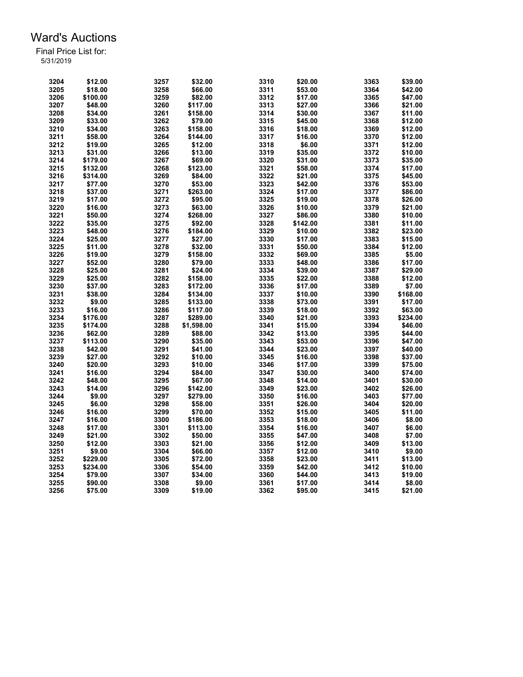| 3204 | \$12.00  | 3257 | \$32.00    | 3310 | \$20.00  | 3363 | \$39.00  |
|------|----------|------|------------|------|----------|------|----------|
| 3205 | \$18.00  | 3258 | \$66.00    | 3311 | \$53.00  | 3364 | \$42.00  |
| 3206 | \$100.00 | 3259 | \$82.00    | 3312 | \$17.00  | 3365 | \$47.00  |
| 3207 | \$48.00  | 3260 | \$117.00   | 3313 | \$27.00  | 3366 | \$21.00  |
| 3208 | \$34.00  | 3261 | \$158.00   | 3314 | \$30.00  | 3367 | \$11.00  |
| 3209 | \$33.00  | 3262 | \$79.00    | 3315 | \$45.00  | 3368 | \$12.00  |
| 3210 | \$34.00  | 3263 | \$158.00   | 3316 | \$18.00  | 3369 | \$12.00  |
| 3211 | \$58.00  | 3264 | \$144.00   | 3317 | \$16.00  | 3370 | \$12.00  |
| 3212 | \$19.00  | 3265 | \$12.00    | 3318 | \$6.00   | 3371 | \$12.00  |
| 3213 | \$31.00  | 3266 | \$13.00    | 3319 | \$35.00  | 3372 | \$10.00  |
| 3214 | \$179.00 | 3267 | \$69.00    | 3320 | \$31.00  | 3373 | \$35.00  |
| 3215 | \$132.00 | 3268 | \$123.00   | 3321 | \$58.00  | 3374 | \$17.00  |
| 3216 | \$314.00 | 3269 | \$84.00    | 3322 | \$21.00  | 3375 | \$45.00  |
| 3217 | \$77.00  | 3270 | \$53.00    | 3323 | \$42.00  | 3376 | \$53.00  |
| 3218 | \$37.00  | 3271 | \$263.00   | 3324 | \$17.00  | 3377 | \$86.00  |
| 3219 | \$17.00  | 3272 | \$95.00    | 3325 | \$19.00  | 3378 | \$26.00  |
| 3220 | \$16.00  | 3273 | \$63.00    | 3326 | \$10.00  | 3379 | \$21.00  |
|      |          |      |            |      |          |      |          |
| 3221 | \$50.00  | 3274 | \$268.00   | 3327 | \$86.00  | 3380 | \$10.00  |
| 3222 | \$35.00  | 3275 | \$92.00    | 3328 | \$142.00 | 3381 | \$11.00  |
| 3223 | \$48.00  | 3276 | \$184.00   | 3329 | \$10.00  | 3382 | \$23.00  |
| 3224 | \$25.00  | 3277 | \$27.00    | 3330 | \$17.00  | 3383 | \$15.00  |
| 3225 | \$11.00  | 3278 | \$32.00    | 3331 | \$50.00  | 3384 | \$12.00  |
| 3226 | \$19.00  | 3279 | \$158.00   | 3332 | \$69.00  | 3385 | \$5.00   |
| 3227 | \$52.00  | 3280 | \$79.00    | 3333 | \$48.00  | 3386 | \$17.00  |
| 3228 | \$25.00  | 3281 | \$24.00    | 3334 | \$39.00  | 3387 | \$29.00  |
| 3229 | \$25.00  | 3282 | \$158.00   | 3335 | \$22.00  | 3388 | \$12.00  |
| 3230 | \$37.00  | 3283 | \$172.00   | 3336 | \$17.00  | 3389 | \$7.00   |
| 3231 | \$38.00  | 3284 | \$134.00   | 3337 | \$10.00  | 3390 | \$168.00 |
| 3232 | \$9.00   | 3285 | \$133.00   | 3338 | \$73.00  | 3391 | \$17.00  |
| 3233 | \$16.00  | 3286 | \$117.00   | 3339 | \$18.00  | 3392 | \$63.00  |
| 3234 | \$176.00 | 3287 | \$289.00   | 3340 | \$21.00  | 3393 | \$234.00 |
| 3235 | \$174.00 | 3288 | \$1,598.00 | 3341 | \$15.00  | 3394 | \$46.00  |
| 3236 | \$62.00  | 3289 | \$88.00    | 3342 | \$13.00  | 3395 | \$44.00  |
| 3237 | \$113.00 | 3290 | \$35.00    | 3343 | \$53.00  | 3396 | \$47.00  |
| 3238 | \$42.00  | 3291 | \$41.00    | 3344 | \$23.00  | 3397 | \$40.00  |
| 3239 | \$27.00  | 3292 | \$10.00    | 3345 | \$16.00  | 3398 | \$37.00  |
| 3240 | \$20.00  | 3293 | \$10.00    | 3346 | \$17.00  | 3399 | \$75.00  |
| 3241 | \$16.00  | 3294 | \$84.00    | 3347 | \$30.00  | 3400 | \$74.00  |
| 3242 | \$48.00  | 3295 | \$67.00    | 3348 | \$14.00  | 3401 | \$30.00  |
| 3243 | \$14.00  | 3296 | \$142.00   | 3349 | \$23.00  | 3402 | \$26.00  |
| 3244 | \$9.00   | 3297 | \$279.00   | 3350 | \$16.00  | 3403 | \$77.00  |
| 3245 | \$6.00   | 3298 | \$58.00    | 3351 | \$26.00  | 3404 | \$20.00  |
| 3246 | \$16.00  | 3299 | \$70.00    | 3352 | \$15.00  | 3405 | \$11.00  |
| 3247 | \$16.00  | 3300 | \$186.00   | 3353 | \$18.00  | 3406 | \$8.00   |
| 3248 | \$17.00  | 3301 | \$113.00   | 3354 | \$16.00  | 3407 | \$6.00   |
| 3249 | \$21.00  | 3302 | \$50.00    | 3355 | \$47.00  | 3408 | \$7.00   |
| 3250 | \$12.00  | 3303 | \$21.00    | 3356 | \$12.00  | 3409 | \$13.00  |
| 3251 | \$9.00   | 3304 | \$66.00    | 3357 |          | 3410 | \$9.00   |
|      |          |      |            |      | \$12.00  |      |          |
| 3252 | \$229.00 | 3305 | \$72.00    | 3358 | \$23.00  | 3411 | \$13.00  |
| 3253 | \$234.00 | 3306 | \$54.00    | 3359 | \$42.00  | 3412 | \$10.00  |
| 3254 | \$79.00  | 3307 | \$34.00    | 3360 | \$44.00  | 3413 | \$19.00  |
| 3255 | \$90.00  | 3308 | \$9.00     | 3361 | \$17.00  | 3414 | \$8.00   |
| 3256 | \$75.00  | 3309 | \$19.00    | 3362 | \$95.00  | 3415 | \$21.00  |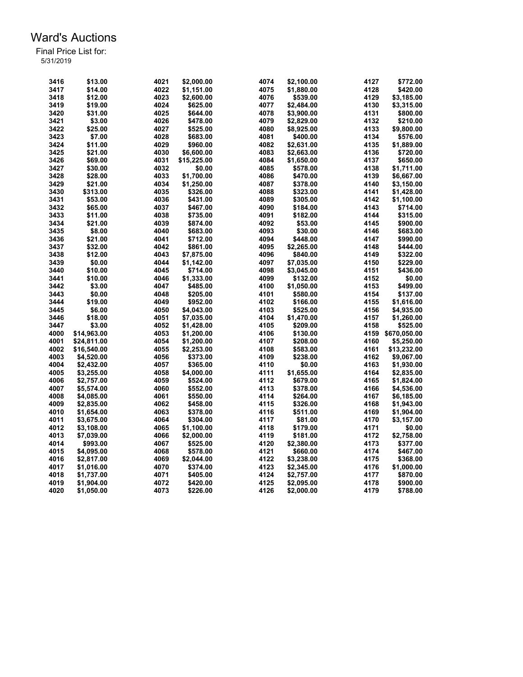| 3416         | \$13.00                | 4021         | \$2,000.00             | 4074         | \$2,100.00             | 4127         | \$772.00               |
|--------------|------------------------|--------------|------------------------|--------------|------------------------|--------------|------------------------|
| 3417         | \$14.00                | 4022         | \$1,151.00             | 4075         | \$1,880.00             | 4128         | \$420.00               |
| 3418         | \$12.00                | 4023         | \$2,600.00             | 4076         | \$539.00               | 4129         | \$3,185.00             |
| 3419         | \$19.00                | 4024         | \$625.00               | 4077         | \$2,484.00             | 4130         | \$3,315.00             |
| 3420         | \$31.00                | 4025         | \$644.00               | 4078         | \$3,900.00             | 4131         | \$800.00               |
| 3421         | \$3.00                 | 4026         | \$478.00               | 4079         | \$2,829.00             | 4132         | \$210.00               |
| 3422         | \$25.00                | 4027         | \$525.00               | 4080         | \$8,925.00             | 4133         | \$9,800.00             |
| 3423         | \$7.00                 | 4028         | \$683.00               | 4081         | \$400.00               | 4134         | \$576.00               |
| 3424         | \$11.00                | 4029         | \$960.00               | 4082         | \$2,631.00             | 4135         | \$1,889.00             |
| 3425         | \$21.00                | 4030         | \$6,600.00             | 4083         | \$2,663.00             | 4136         | \$720.00               |
| 3426         | \$69.00                | 4031         | \$15,225.00            | 4084         | \$1,650.00             | 4137         | \$650.00               |
| 3427         | \$30.00                | 4032         |                        | 4085         |                        | 4138         | \$1,711.00             |
| 3428         |                        | 4033         | \$0.00                 |              | \$578.00               | 4139         |                        |
|              | \$28.00                |              | \$1,700.00             | 4086         | \$470.00               |              | \$6,667.00             |
| 3429         | \$21.00                | 4034         | \$1.250.00             | 4087         | \$378.00               | 4140         | \$3,150.00             |
| 3430         | \$313.00               | 4035         | \$326.00               | 4088         | \$323.00               | 4141         | \$1,428.00             |
| 3431         | \$53.00                | 4036         | \$431.00               | 4089         | \$305.00               | 4142         | \$1,100.00             |
| 3432         | \$65.00                | 4037         | \$467.00               | 4090         | \$184.00               | 4143         | \$714.00               |
| 3433         | \$11.00                | 4038         | \$735.00               | 4091         | \$182.00               | 4144         | \$315.00               |
| 3434         | \$21.00                | 4039         | \$874.00               | 4092         | \$53.00                | 4145         | \$900.00               |
| 3435         | \$8.00                 | 4040         | \$683.00               | 4093         | \$30.00                | 4146         | \$683.00               |
| 3436         | \$21.00                | 4041         | \$712.00               | 4094         | \$448.00               | 4147         | \$990.00               |
| 3437         | \$32.00                | 4042         | \$861.00               | 4095         | \$2,265.00             | 4148         | \$444.00               |
| 3438         | \$12.00                | 4043         | \$7,875.00             | 4096         | \$840.00               | 4149         | \$322.00               |
| 3439         | \$0.00                 | 4044         | \$1,142.00             | 4097         | \$7,035.00             | 4150         | \$229.00               |
| 3440         | \$10.00                | 4045         | \$714.00               | 4098         | \$3,045.00             | 4151         | \$436.00               |
| 3441         | \$10.00                | 4046         | \$1,333.00             | 4099         | \$132.00               | 4152         | \$0.00                 |
| 3442         | \$3.00                 | 4047         | \$485.00               | 4100         | \$1,050.00             | 4153         | \$499.00               |
| 3443         | \$0.00                 | 4048         | \$205.00               | 4101         | \$580.00               | 4154         | \$137.00               |
| 3444         | \$19.00                | 4049         | \$952.00               | 4102         | \$166.00               | 4155         | \$1,616.00             |
| 3445         | \$6.00                 | 4050         | \$4,043.00             | 4103         | \$525.00               | 4156         | \$4,935.00             |
| 3446         | \$18.00                | 4051         | \$7.035.00             | 4104         | \$1,470.00             | 4157         | \$1,260.00             |
| 3447         | \$3.00                 | 4052         | \$1,428.00             | 4105         | \$209.00               | 4158         | \$525.00               |
| 4000         | \$14,963.00            | 4053         | \$1,200.00             | 4106         | \$130.00               | 4159         | \$670,050.00           |
| 4001         | \$24,811.00            | 4054         | \$1,200.00             | 4107         | \$208.00               | 4160         | \$5,250.00             |
| 4002         | \$16,540.00            | 4055         | \$2,253.00             | 4108         | \$583.00               | 4161         | \$13,232.00            |
| 4003         | \$4,520.00             | 4056         | \$373.00               | 4109         | \$238.00               | 4162         | \$9,067.00             |
| 4004         | \$2,432.00             | 4057         | \$365.00               | 4110         | \$0.00                 | 4163         | \$1,930.00             |
| 4005         | \$3,255.00             | 4058         | \$4,000.00             | 4111         | \$1,655.00             | 4164         | \$2,835.00             |
| 4006         | \$2,757.00             | 4059         | \$524.00               | 4112         | \$679.00               | 4165         | \$1,824.00             |
| 4007         | \$5,574.00             | 4060         | \$552.00               | 4113         | \$378.00               | 4166         | \$4,536.00             |
| 4008         | \$4,085.00             | 4061         | \$550.00               | 4114         | \$264.00               | 4167         | \$6,185.00             |
| 4009         | \$2,835.00             | 4062         | \$458.00               | 4115         | \$326.00               | 4168         | \$1,943.00             |
| 4010         | \$1,654.00             | 4063         | \$378.00               | 4116         | \$511.00               | 4169         | \$1,904.00             |
| 4011         | \$3,675.00             | 4064         | \$304.00               | 4117         | \$81.00                | 4170         | \$3,157.00             |
| 4012         | \$3,108.00             | 4065         | \$1,100.00             | 4118         | \$179.00               | 4171         | \$0.00                 |
|              |                        |              |                        |              |                        |              |                        |
| 4013<br>4014 | \$7,039.00<br>\$993.00 | 4066<br>4067 | \$2,000.00<br>\$525.00 | 4119<br>4120 | \$181.00<br>\$2,380.00 | 4172<br>4173 | \$2,758.00<br>\$377.00 |
|              |                        |              |                        | 4121         |                        |              |                        |
| 4015         | \$4,095.00             | 4068         | \$578.00               |              | \$660.00               | 4174         | \$467.00               |
| 4016         | \$2,817.00             | 4069         | \$2,044.00             | 4122         | \$3,238.00             | 4175         | \$368.00               |
| 4017         | \$1,016.00             | 4070         | \$374.00               | 4123         | \$2,345.00             | 4176         | \$1,000.00             |
| 4018         | \$1,737.00             | 4071         | \$405.00               | 4124         | \$2,757.00             | 4177         | \$870.00               |
| 4019         | \$1,904.00             | 4072         | \$420.00               | 4125         | \$2,095.00             | 4178         | \$900.00               |
| 4020         | \$1,050.00             | 4073         | \$226.00               | 4126         | \$2,000.00             | 4179         | \$788.00               |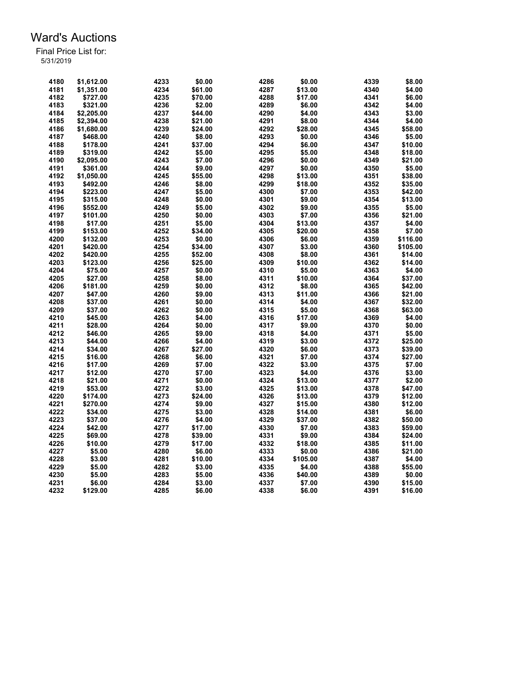| 4180 | \$1.612.00 | 4233         | \$0.00  | 4286 | \$0.00             | 4339 | \$8.00   |
|------|------------|--------------|---------|------|--------------------|------|----------|
| 4181 | \$1,351.00 | 4234         | \$61.00 | 4287 | \$13.00            | 4340 | \$4.00   |
| 4182 | \$727.00   | 4235         | \$70.00 | 4288 | \$17.00            | 4341 | \$6.00   |
| 4183 | \$321.00   | 4236         | \$2.00  | 4289 | \$6.00             | 4342 | \$4.00   |
| 4184 | \$2,205.00 | 4237         | \$44.00 | 4290 | \$4.00             | 4343 | \$3.00   |
| 4185 | \$2,394.00 | 4238         | \$21.00 | 4291 | \$8.00             | 4344 | \$4.00   |
| 4186 | \$1,680.00 | 4239         | \$24.00 | 4292 | \$28.00            | 4345 | \$58.00  |
| 4187 | \$468.00   | 4240         | \$8.00  | 4293 | \$0.00             | 4346 | \$5.00   |
| 4188 | \$178.00   | 4241         | \$37.00 | 4294 | \$6.00             | 4347 | \$10.00  |
| 4189 | \$319.00   | 4242         | \$5.00  | 4295 | \$5.00             | 4348 | \$18.00  |
| 4190 | \$2,095.00 | 4243         | \$7.00  | 4296 | \$0.00             | 4349 | \$21.00  |
| 4191 | \$361.00   | 4244         | \$9.00  | 4297 | \$0.00             | 4350 | \$5.00   |
| 4192 | \$1,050.00 | 4245         | \$55.00 | 4298 | \$13.00            | 4351 | \$38.00  |
| 4193 | \$492.00   | 4246         | \$8.00  | 4299 | \$18.00            | 4352 | \$35.00  |
| 4194 | \$223.00   | 4247         | \$5.00  | 4300 | \$7.00             | 4353 | \$42.00  |
| 4195 | \$315.00   | 4248         | \$0.00  | 4301 | \$9.00             | 4354 | \$13.00  |
| 4196 |            | 4249         | \$5.00  | 4302 | \$9.00             | 4355 | \$5.00   |
|      | \$552.00   |              |         |      |                    |      |          |
| 4197 | \$101.00   | 4250         | \$0.00  | 4303 | \$7.00             | 4356 | \$21.00  |
| 4198 | \$17.00    | 4251         | \$5.00  | 4304 | \$13.00            | 4357 | \$4.00   |
| 4199 | \$153.00   | 4252         | \$34.00 | 4305 | \$20.00            | 4358 | \$7.00   |
| 4200 | \$132.00   | 4253         | \$0.00  | 4306 | \$6.00             | 4359 | \$116.00 |
| 4201 | \$420.00   | 4254         | \$34.00 | 4307 | \$3.00             | 4360 | \$105.00 |
| 4202 | \$420.00   | 4255         | \$52.00 | 4308 | \$8.00             | 4361 | \$14.00  |
| 4203 | \$123.00   | 4256         | \$25.00 | 4309 | \$10.00            | 4362 | \$14.00  |
| 4204 | \$75.00    | 4257         | \$0.00  | 4310 | \$5.00             | 4363 | \$4.00   |
| 4205 | \$27.00    | 4258         | \$8.00  | 4311 | \$10.00            | 4364 | \$37.00  |
| 4206 | \$181.00   | 4259         | \$0.00  | 4312 | \$8.00             | 4365 | \$42.00  |
| 4207 | \$47.00    | 4260         | \$9.00  | 4313 | \$11.00            | 4366 | \$21.00  |
| 4208 | \$37.00    | 4261         | \$0.00  | 4314 | \$4.00             | 4367 | \$32.00  |
| 4209 | \$37.00    | 4262         | \$0.00  | 4315 | \$5.00             | 4368 | \$63.00  |
| 4210 | \$45.00    | 4263         | \$4.00  | 4316 | \$17.00            | 4369 | \$4.00   |
| 4211 | \$28.00    | 4264         | \$0.00  | 4317 | \$9.00             | 4370 | \$0.00   |
| 4212 | \$46.00    | 4265         | \$9.00  | 4318 | \$4.00             | 4371 | \$5.00   |
| 4213 | \$44.00    | 4266         | \$4.00  | 4319 | \$3.00             | 4372 | \$25.00  |
| 4214 | \$34.00    | 4267         | \$27.00 | 4320 | \$6.00             | 4373 | \$39.00  |
| 4215 | \$16.00    | 4268         | \$6.00  | 4321 | \$7.00             | 4374 | \$27.00  |
| 4216 | \$17.00    | 4269         | \$7.00  | 4322 | \$3.00             | 4375 | \$7.00   |
| 4217 | \$12.00    | 4270         | \$7.00  | 4323 | \$4.00             | 4376 | \$3.00   |
| 4218 | \$21.00    | 4271         | \$0.00  | 4324 | \$13.00            | 4377 | \$2.00   |
| 4219 | \$53.00    | 4272         | \$3.00  | 4325 | \$13.00            | 4378 | \$47.00  |
| 4220 | \$174.00   | 4273         | \$24.00 | 4326 | \$13.00            | 4379 | \$12.00  |
| 4221 | \$270.00   | 4274         | \$9.00  | 4327 | \$15.00            | 4380 | \$12.00  |
| 4222 | \$34.00    | 4275         | \$3.00  | 4328 | \$14.00            | 4381 | \$6.00   |
| 4223 | \$37.00    | 4276         | \$4.00  | 4329 | \$37.00            | 4382 | \$50.00  |
| 4224 | \$42.00    | 4277         | \$17.00 | 4330 | \$7.00             | 4383 | \$59.00  |
| 4225 | \$69.00    | 4278         | \$39.00 | 4331 | \$9.00             | 4384 | \$24.00  |
| 4226 | \$10.00    | 4279         | \$17.00 | 4332 | \$18.00            | 4385 | \$11.00  |
| 4227 | \$5.00     |              |         | 4333 |                    |      |          |
| 4228 | \$3.00     | 4280<br>4281 | \$6.00  | 4334 | \$0.00<br>\$105.00 | 4386 | \$21.00  |
|      |            |              | \$10.00 |      |                    | 4387 | \$4.00   |
| 4229 | \$5.00     | 4282         | \$3.00  | 4335 | \$4.00             | 4388 | \$55.00  |
| 4230 | \$5.00     | 4283         | \$5.00  | 4336 | \$40.00            | 4389 | \$0.00   |
| 4231 | \$6.00     | 4284         | \$3.00  | 4337 | \$7.00             | 4390 | \$15.00  |
| 4232 | \$129.00   | 4285         | \$6.00  | 4338 | \$6.00             | 4391 | \$16.00  |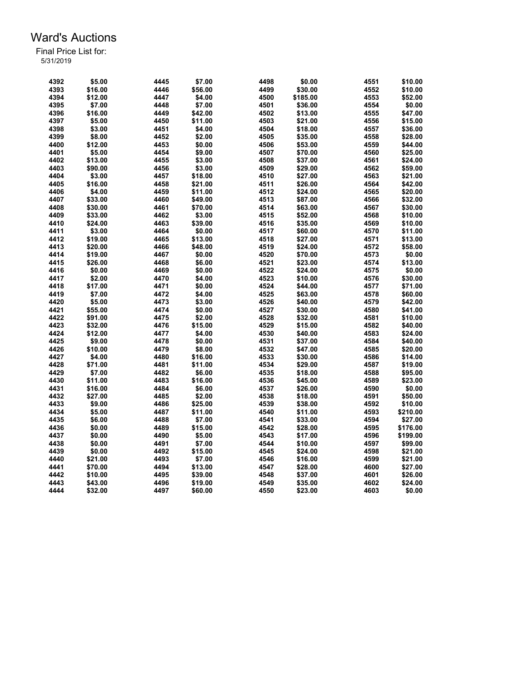| 4392         | \$5.00  | 4445 | \$7.00  | 4498 | \$0.00   | 4551 | \$10.00  |
|--------------|---------|------|---------|------|----------|------|----------|
| 4393         | \$16.00 | 4446 | \$56.00 | 4499 | \$30.00  | 4552 | \$10.00  |
| 4394         | \$12.00 | 4447 | \$4.00  | 4500 | \$185.00 | 4553 | \$52.00  |
| 4395         | \$7.00  | 4448 | \$7.00  | 4501 | \$36.00  | 4554 | \$0.00   |
| 4396         | \$16.00 | 4449 | \$42.00 | 4502 | \$13.00  | 4555 | \$47.00  |
| 4397         | \$5.00  | 4450 | \$11.00 | 4503 | \$21.00  | 4556 | \$15.00  |
| 4398         | \$3.00  | 4451 | \$4.00  | 4504 | \$18.00  | 4557 | \$36.00  |
| 4399         | \$8.00  | 4452 | \$2.00  | 4505 | \$35.00  | 4558 | \$28.00  |
| 4400         | \$12.00 | 4453 | \$0.00  | 4506 | \$53.00  | 4559 | \$44.00  |
|              |         |      |         |      |          |      |          |
| 4401<br>4402 | \$5.00  | 4454 | \$9.00  | 4507 | \$70.00  | 4560 | \$25.00  |
|              | \$13.00 | 4455 | \$3.00  | 4508 | \$37.00  | 4561 | \$24.00  |
| 4403         | \$90.00 | 4456 | \$3.00  | 4509 | \$29.00  | 4562 | \$59.00  |
| 4404         | \$3.00  | 4457 | \$18.00 | 4510 | \$27.00  | 4563 | \$21.00  |
| 4405         | \$16.00 | 4458 | \$21.00 | 4511 | \$26.00  | 4564 | \$42.00  |
| 4406         | \$4.00  | 4459 | \$11.00 | 4512 | \$24.00  | 4565 | \$20.00  |
| 4407         | \$33.00 | 4460 | \$49.00 | 4513 | \$87.00  | 4566 | \$32.00  |
| 4408         | \$30.00 | 4461 | \$70.00 | 4514 | \$63.00  | 4567 | \$30.00  |
| 4409         | \$33.00 | 4462 | \$3.00  | 4515 | \$52.00  | 4568 | \$10.00  |
| 4410         | \$24.00 | 4463 | \$39.00 | 4516 | \$35.00  | 4569 | \$10.00  |
| 4411         | \$3.00  | 4464 | \$0.00  | 4517 | \$60.00  | 4570 | \$11.00  |
| 4412         | \$19.00 | 4465 | \$13.00 | 4518 | \$27.00  | 4571 | \$13.00  |
| 4413         | \$20.00 | 4466 | \$48.00 | 4519 | \$24.00  | 4572 | \$58.00  |
| 4414         | \$19.00 | 4467 | \$0.00  | 4520 | \$70.00  | 4573 | \$0.00   |
| 4415         | \$26.00 | 4468 | \$6.00  | 4521 | \$23.00  | 4574 | \$13.00  |
| 4416         | \$0.00  | 4469 | \$0.00  | 4522 | \$24.00  | 4575 | \$0.00   |
| 4417         | \$2.00  | 4470 | \$4.00  | 4523 | \$10.00  | 4576 | \$30.00  |
| 4418         | \$17.00 | 4471 | \$0.00  | 4524 | \$44.00  | 4577 | \$71.00  |
| 4419         | \$7.00  | 4472 | \$4.00  | 4525 | \$63.00  | 4578 | \$60.00  |
| 4420         | \$5.00  | 4473 | \$3.00  | 4526 | \$40.00  | 4579 | \$42.00  |
| 4421         | \$55.00 | 4474 | \$0.00  | 4527 | \$30.00  | 4580 | \$41.00  |
| 4422         | \$91.00 | 4475 | \$2.00  | 4528 | \$32.00  | 4581 | \$10.00  |
| 4423         | \$32.00 | 4476 | \$15.00 | 4529 | \$15.00  | 4582 | \$40.00  |
| 4424         | \$12.00 | 4477 | \$4.00  | 4530 | \$40.00  | 4583 | \$24.00  |
| 4425         | \$9.00  | 4478 | \$0.00  | 4531 | \$37.00  | 4584 | \$40.00  |
| 4426         | \$10.00 | 4479 | \$8.00  | 4532 | \$47.00  | 4585 | \$20.00  |
| 4427         | \$4.00  | 4480 | \$16.00 | 4533 | \$30.00  | 4586 | \$14.00  |
| 4428         | \$71.00 | 4481 |         | 4534 |          |      |          |
|              |         |      | \$11.00 |      | \$29.00  | 4587 | \$19.00  |
| 4429         | \$7.00  | 4482 | \$6.00  | 4535 | \$18.00  | 4588 | \$95.00  |
| 4430         | \$11.00 | 4483 | \$16.00 | 4536 | \$45.00  | 4589 | \$23.00  |
| 4431         | \$16.00 | 4484 | \$6.00  | 4537 | \$26.00  | 4590 | \$0.00   |
| 4432         | \$27.00 | 4485 | \$2.00  | 4538 | \$18.00  | 4591 | \$50.00  |
| 4433         | \$9.00  | 4486 | \$25.00 | 4539 | \$38.00  | 4592 | \$10.00  |
| 4434         | \$5.00  | 4487 | \$11.00 | 4540 | \$11.00  | 4593 | \$210.00 |
| 4435         | \$6.00  | 4488 | \$7.00  | 4541 | \$33.00  | 4594 | \$27.00  |
| 4436         | \$0.00  | 4489 | \$15.00 | 4542 | \$28.00  | 4595 | \$176.00 |
| 4437         | \$0.00  | 4490 | \$5.00  | 4543 | \$17.00  | 4596 | \$199.00 |
| 4438         | \$0.00  | 4491 | \$7.00  | 4544 | \$10.00  | 4597 | \$99.00  |
| 4439         | \$0.00  | 4492 | \$15.00 | 4545 | \$24.00  | 4598 | \$21.00  |
| 4440         | \$21.00 | 4493 | \$7.00  | 4546 | \$16.00  | 4599 | \$21.00  |
| 4441         | \$70.00 | 4494 | \$13.00 | 4547 | \$28.00  | 4600 | \$27.00  |
| 4442         | \$10.00 | 4495 | \$39.00 | 4548 | \$37.00  | 4601 | \$26.00  |
| 4443         | \$43.00 | 4496 | \$19.00 | 4549 | \$35.00  | 4602 | \$24.00  |
| 4444         | \$32.00 | 4497 | \$60.00 | 4550 | \$23.00  | 4603 | \$0.00   |
|              |         |      |         |      |          |      |          |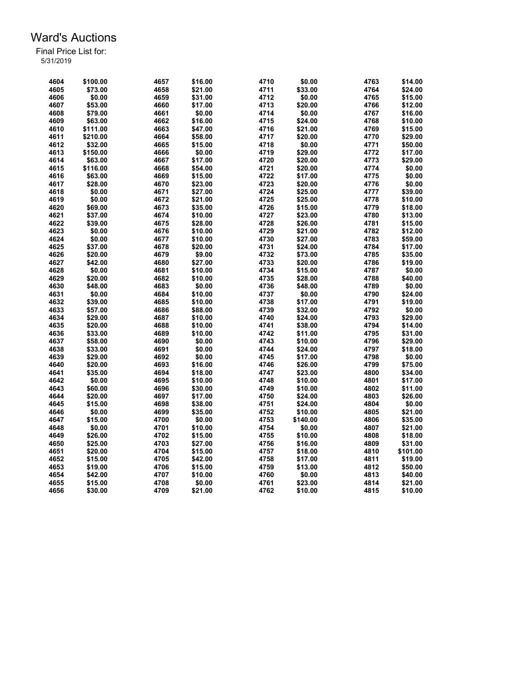| 4604 | \$100.00 | 4657 | \$16.00 | 4710 | \$0.00   | 4763 | \$14.00  |
|------|----------|------|---------|------|----------|------|----------|
| 4605 | \$73.00  | 4658 | \$21.00 | 4711 | \$33.00  | 4764 | \$24.00  |
| 4606 | \$0.00   | 4659 | \$31.00 | 4712 | \$0.00   | 4765 | \$15.00  |
| 4607 | \$53.00  | 4660 | \$17.00 | 4713 | \$20.00  | 4766 | \$12.00  |
| 4608 | \$79.00  | 4661 | \$0.00  | 4714 | \$0.00   | 4767 | \$16.00  |
| 4609 | \$63.00  | 4662 | \$16.00 | 4715 | \$24.00  | 4768 | \$10.00  |
| 4610 | \$111.00 | 4663 | \$47.00 | 4716 | \$21.00  | 4769 | \$15.00  |
| 4611 | \$210.00 | 4664 | \$58.00 | 4717 | \$20.00  | 4770 | \$29.00  |
| 4612 | \$32.00  | 4665 | \$15.00 | 4718 | \$0.00   | 4771 | \$50.00  |
| 4613 | \$150.00 | 4666 | \$0.00  | 4719 | \$29.00  | 4772 | \$17.00  |
| 4614 | \$63.00  | 4667 | \$17.00 | 4720 | \$20.00  | 4773 | \$29.00  |
| 4615 | \$116.00 | 4668 | \$54.00 | 4721 | \$20.00  | 4774 | \$0.00   |
| 4616 | \$63.00  | 4669 | \$15.00 | 4722 | \$17.00  | 4775 | \$0.00   |
| 4617 | \$28.00  | 4670 | \$23.00 | 4723 | \$20.00  | 4776 | \$0.00   |
| 4618 | \$0.00   | 4671 | \$27.00 | 4724 | \$25.00  | 4777 | \$39.00  |
| 4619 | \$0.00   | 4672 | \$21.00 | 4725 | \$25.00  | 4778 | \$10.00  |
| 4620 | \$69.00  | 4673 | \$35.00 | 4726 | \$15.00  | 4779 | \$18.00  |
| 4621 | \$37.00  | 4674 | \$10.00 | 4727 | \$23.00  | 4780 | \$13.00  |
| 4622 | \$39.00  | 4675 | \$28.00 | 4728 | \$26.00  | 4781 | \$15.00  |
| 4623 | \$0.00   | 4676 | \$10.00 | 4729 | \$21.00  | 4782 | \$12.00  |
| 4624 | \$0.00   | 4677 | \$10.00 | 4730 | \$27.00  | 4783 | \$59.00  |
| 4625 | \$37.00  | 4678 | \$20.00 | 4731 |          | 4784 | \$17.00  |
|      |          |      |         |      | \$24.00  |      |          |
| 4626 | \$20.00  | 4679 | \$9.00  | 4732 | \$73.00  | 4785 | \$35.00  |
| 4627 | \$42.00  | 4680 | \$27.00 | 4733 | \$20.00  | 4786 | \$19.00  |
| 4628 | \$0.00   | 4681 | \$10.00 | 4734 | \$15.00  | 4787 | \$0.00   |
| 4629 | \$20.00  | 4682 | \$10.00 | 4735 | \$28.00  | 4788 | \$40.00  |
| 4630 | \$48.00  | 4683 | \$0.00  | 4736 | \$48.00  | 4789 | \$0.00   |
| 4631 | \$0.00   | 4684 | \$10.00 | 4737 | \$0.00   | 4790 | \$24.00  |
| 4632 | \$39.00  | 4685 | \$10.00 | 4738 | \$17.00  | 4791 | \$19.00  |
| 4633 | \$57.00  | 4686 | \$88.00 | 4739 | \$32.00  | 4792 | \$0.00   |
| 4634 | \$29.00  | 4687 | \$10.00 | 4740 | \$24.00  | 4793 | \$29.00  |
| 4635 | \$20.00  | 4688 | \$10.00 | 4741 | \$38.00  | 4794 | \$14.00  |
| 4636 | \$33.00  | 4689 | \$10.00 | 4742 | \$11.00  | 4795 | \$31.00  |
| 4637 | \$58.00  | 4690 | \$0.00  | 4743 | \$10.00  | 4796 | \$29.00  |
| 4638 | \$33.00  | 4691 | \$0.00  | 4744 | \$24.00  | 4797 | \$18.00  |
| 4639 | \$29.00  | 4692 | \$0.00  | 4745 | \$17.00  | 4798 | \$0.00   |
| 4640 | \$20.00  | 4693 | \$16.00 | 4746 | \$26.00  | 4799 | \$75.00  |
| 4641 | \$35.00  | 4694 | \$18.00 | 4747 | \$23.00  | 4800 | \$34.00  |
| 4642 | \$0.00   | 4695 | \$10.00 | 4748 | \$10.00  | 4801 | \$17.00  |
| 4643 | \$60.00  | 4696 | \$30.00 | 4749 | \$10.00  | 4802 | \$11.00  |
| 4644 | \$20.00  | 4697 | \$17.00 | 4750 | \$24.00  | 4803 | \$26.00  |
| 4645 | \$15.00  | 4698 | \$38.00 | 4751 | \$24.00  | 4804 | \$0.00   |
| 4646 | \$0.00   | 4699 | \$35.00 | 4752 | \$10.00  | 4805 | \$21.00  |
| 4647 | \$15.00  | 4700 | \$0.00  | 4753 | \$140.00 | 4806 | \$35.00  |
| 4648 | \$0.00   | 4701 | \$10.00 | 4754 | \$0.00   | 4807 | \$21.00  |
| 4649 | \$26.00  | 4702 | \$15.00 | 4755 | \$10.00  | 4808 | \$18.00  |
| 4650 | \$25.00  | 4703 | \$27.00 | 4756 | \$16.00  | 4809 | \$31.00  |
| 4651 | \$20.00  | 4704 | \$15.00 | 4757 | \$18.00  | 4810 | \$101.00 |
| 4652 | \$15.00  | 4705 | \$42.00 | 4758 | \$17.00  | 4811 | \$19.00  |
| 4653 | \$19.00  | 4706 | \$15.00 | 4759 | \$13.00  | 4812 | \$50.00  |
| 4654 | \$42.00  | 4707 | \$10.00 | 4760 | \$0.00   | 4813 | \$40.00  |
| 4655 | \$15.00  | 4708 | \$0.00  | 4761 | \$23.00  | 4814 | \$21.00  |
| 4656 | \$30.00  | 4709 | \$21.00 | 4762 | \$10.00  | 4815 | \$10.00  |
|      |          |      |         |      |          |      |          |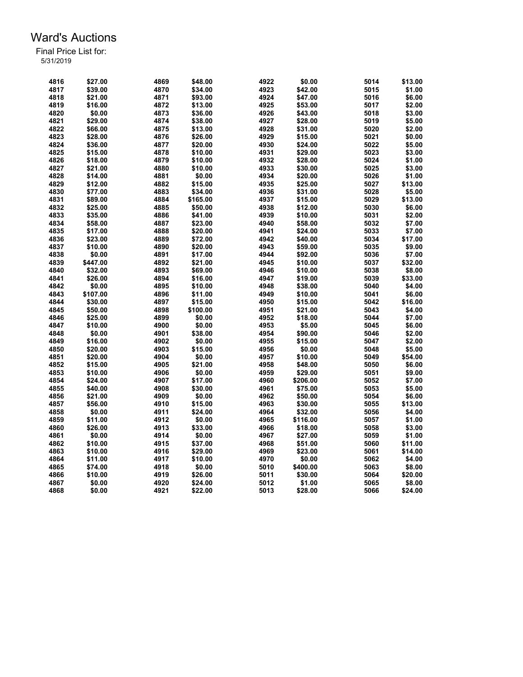| 4816 | \$27.00  | 4869 | \$48.00  | 4922 | \$0.00   | 5014 | \$13.00 |
|------|----------|------|----------|------|----------|------|---------|
| 4817 | \$39.00  | 4870 | \$34.00  | 4923 | \$42.00  | 5015 | \$1.00  |
| 4818 | \$21.00  | 4871 | \$93.00  | 4924 | \$47.00  | 5016 | \$6.00  |
| 4819 | \$16.00  | 4872 | \$13.00  | 4925 | \$53.00  | 5017 | \$2.00  |
| 4820 | \$0.00   | 4873 | \$36.00  | 4926 | \$43.00  | 5018 | \$3.00  |
| 4821 | \$29.00  | 4874 | \$38.00  | 4927 | \$28.00  | 5019 | \$5.00  |
| 4822 | \$66.00  | 4875 | \$13.00  | 4928 | \$31.00  | 5020 | \$2.00  |
| 4823 | \$28.00  | 4876 | \$26.00  | 4929 | \$15.00  | 5021 | \$0.00  |
| 4824 | \$36.00  | 4877 | \$20.00  | 4930 | \$24.00  | 5022 | \$5.00  |
| 4825 | \$15.00  | 4878 | \$10.00  | 4931 | \$29.00  | 5023 | \$3.00  |
| 4826 | \$18.00  | 4879 | \$10.00  | 4932 | \$28.00  | 5024 | \$1.00  |
| 4827 | \$21.00  | 4880 | \$10.00  | 4933 | \$30.00  | 5025 | \$3.00  |
| 4828 |          | 4881 | \$0.00   | 4934 |          | 5026 |         |
|      | \$14.00  |      |          |      | \$20.00  |      | \$1.00  |
| 4829 | \$12.00  | 4882 | \$15.00  | 4935 | \$25.00  | 5027 | \$13.00 |
| 4830 | \$77.00  | 4883 | \$34.00  | 4936 | \$31.00  | 5028 | \$5.00  |
| 4831 | \$89.00  | 4884 | \$165.00 | 4937 | \$15.00  | 5029 | \$13.00 |
| 4832 | \$25.00  | 4885 | \$50.00  | 4938 | \$12.00  | 5030 | \$6.00  |
| 4833 | \$35.00  | 4886 | \$41.00  | 4939 | \$10.00  | 5031 | \$2.00  |
| 4834 | \$58.00  | 4887 | \$23.00  | 4940 | \$58.00  | 5032 | \$7.00  |
| 4835 | \$17.00  | 4888 | \$20.00  | 4941 | \$24.00  | 5033 | \$7.00  |
| 4836 | \$23.00  | 4889 | \$72.00  | 4942 | \$40.00  | 5034 | \$17.00 |
| 4837 | \$10.00  | 4890 | \$20.00  | 4943 | \$59.00  | 5035 | \$9.00  |
| 4838 | \$0.00   | 4891 | \$17.00  | 4944 | \$92.00  | 5036 | \$7.00  |
| 4839 | \$447.00 | 4892 | \$21.00  | 4945 | \$10.00  | 5037 | \$32.00 |
| 4840 | \$32.00  | 4893 | \$69.00  | 4946 | \$10.00  | 5038 | \$8.00  |
| 4841 | \$26.00  | 4894 | \$16.00  | 4947 | \$19.00  | 5039 | \$33.00 |
| 4842 | \$0.00   | 4895 | \$10.00  | 4948 | \$38.00  | 5040 | \$4.00  |
| 4843 | \$107.00 | 4896 | \$11.00  | 4949 | \$10.00  | 5041 | \$6.00  |
| 4844 | \$30.00  | 4897 | \$15.00  | 4950 | \$15.00  | 5042 | \$16.00 |
| 4845 | \$50.00  | 4898 | \$100.00 | 4951 | \$21.00  | 5043 | \$4.00  |
| 4846 | \$25.00  | 4899 | \$0.00   | 4952 | \$18.00  | 5044 | \$7.00  |
| 4847 | \$10.00  | 4900 | \$0.00   | 4953 | \$5.00   | 5045 | \$6.00  |
| 4848 | \$0.00   | 4901 | \$38.00  | 4954 | \$90.00  | 5046 | \$2.00  |
| 4849 | \$16.00  | 4902 | \$0.00   | 4955 | \$15.00  | 5047 | \$2.00  |
| 4850 | \$20.00  | 4903 | \$15.00  | 4956 | \$0.00   | 5048 | \$5.00  |
| 4851 | \$20.00  | 4904 | \$0.00   | 4957 | \$10.00  | 5049 | \$54.00 |
| 4852 | \$15.00  |      | \$21.00  | 4958 |          | 5050 | \$6.00  |
|      |          | 4905 |          |      | \$48.00  |      |         |
| 4853 | \$10.00  | 4906 | \$0.00   | 4959 | \$29.00  | 5051 | \$9.00  |
| 4854 | \$24.00  | 4907 | \$17.00  | 4960 | \$206.00 | 5052 | \$7.00  |
| 4855 | \$40.00  | 4908 | \$30.00  | 4961 | \$75.00  | 5053 | \$5.00  |
| 4856 | \$21.00  | 4909 | \$0.00   | 4962 | \$50.00  | 5054 | \$6.00  |
| 4857 | \$56.00  | 4910 | \$15.00  | 4963 | \$30.00  | 5055 | \$13.00 |
| 4858 | \$0.00   | 4911 | \$24.00  | 4964 | \$32.00  | 5056 | \$4.00  |
| 4859 | \$11.00  | 4912 | \$0.00   | 4965 | \$116.00 | 5057 | \$1.00  |
| 4860 | \$26.00  | 4913 | \$33.00  | 4966 | \$18.00  | 5058 | \$3.00  |
| 4861 | \$0.00   | 4914 | \$0.00   | 4967 | \$27.00  | 5059 | \$1.00  |
| 4862 | \$10.00  | 4915 | \$37.00  | 4968 | \$51.00  | 5060 | \$11.00 |
| 4863 | \$10.00  | 4916 | \$29.00  | 4969 | \$23.00  | 5061 | \$14.00 |
| 4864 | \$11.00  | 4917 | \$10.00  | 4970 | \$0.00   | 5062 | \$4.00  |
| 4865 | \$74.00  | 4918 | \$0.00   | 5010 | \$400.00 | 5063 | \$8.00  |
| 4866 | \$10.00  | 4919 | \$26.00  | 5011 | \$30.00  | 5064 | \$20.00 |
| 4867 | \$0.00   | 4920 | \$24.00  | 5012 | \$1.00   | 5065 | \$8.00  |
| 4868 | \$0.00   | 4921 | \$22.00  | 5013 | \$28.00  | 5066 | \$24.00 |
|      |          |      |          |      |          |      |         |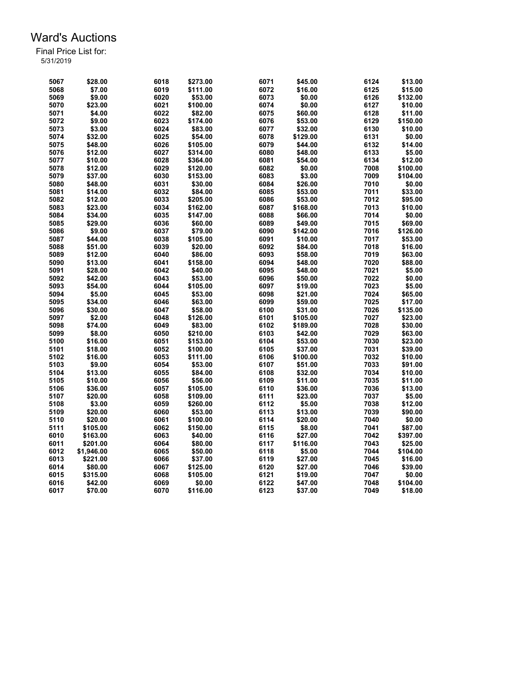| 5067         | \$28.00    | 6018 | \$273.00 | 6071 | \$45.00            | 6124 | \$13.00  |
|--------------|------------|------|----------|------|--------------------|------|----------|
| 5068         | \$7.00     | 6019 | \$111.00 | 6072 | \$16.00            | 6125 | \$15.00  |
| 5069         | \$9.00     | 6020 | \$53.00  | 6073 | \$0.00             | 6126 | \$132.00 |
| 5070         | \$23.00    | 6021 | \$100.00 | 6074 | \$0.00             | 6127 | \$10.00  |
| 5071         | \$4.00     | 6022 | \$82.00  | 6075 | \$60.00            | 6128 | \$11.00  |
| 5072         | \$9.00     | 6023 | \$174.00 | 6076 | \$53.00            | 6129 | \$150.00 |
| 5073         | \$3.00     | 6024 | \$83.00  | 6077 | \$32.00            | 6130 | \$10.00  |
| 5074         | \$32.00    | 6025 | \$54.00  | 6078 | \$129.00           | 6131 | \$0.00   |
| 5075         | \$48.00    | 6026 | \$105.00 | 6079 | \$44.00            | 6132 | \$14.00  |
| 5076         | \$12.00    | 6027 | \$314.00 | 6080 | \$48.00            | 6133 | \$5.00   |
| 5077         | \$10.00    | 6028 | \$364.00 | 6081 | \$54.00            | 6134 | \$12.00  |
| 5078         | \$12.00    | 6029 | \$120.00 | 6082 | \$0.00             | 7008 | \$100.00 |
| 5079         | \$37.00    | 6030 | \$153.00 | 6083 | \$3.00             | 7009 | \$104.00 |
| 5080         | \$48.00    | 6031 | \$30.00  | 6084 | \$26.00            | 7010 | \$0.00   |
| 5081         | \$14.00    | 6032 | \$84.00  | 6085 | \$53.00            | 7011 | \$33.00  |
| 5082         | \$12.00    | 6033 | \$205.00 | 6086 | \$53.00            | 7012 | \$95.00  |
| 5083         | \$23.00    | 6034 | \$162.00 | 6087 | \$168.00           | 7013 | \$10.00  |
| 5084         | \$34.00    | 6035 | \$147.00 | 6088 | \$66.00            | 7014 | \$0.00   |
| 5085         | \$29.00    | 6036 | \$60.00  | 6089 | \$49.00            | 7015 | \$69.00  |
| 5086         | \$9.00     | 6037 | \$79.00  | 6090 | \$142.00           | 7016 | \$126.00 |
| 5087         | \$44.00    | 6038 | \$105.00 | 6091 | \$10.00            | 7017 | \$53.00  |
| 5088         | \$51.00    | 6039 | \$20.00  | 6092 | \$84.00            | 7018 | \$16.00  |
|              | \$12.00    | 6040 | \$86.00  | 6093 |                    | 7019 | \$63.00  |
| 5089<br>5090 | \$13.00    | 6041 | \$158.00 | 6094 | \$58.00<br>\$48.00 | 7020 | \$88.00  |
| 5091         | \$28.00    | 6042 | \$40.00  | 6095 |                    | 7021 | \$5.00   |
|              |            |      |          |      | \$48.00            | 7022 |          |
| 5092         | \$42.00    | 6043 | \$53.00  | 6096 | \$50.00            |      | \$0.00   |
| 5093         | \$54.00    | 6044 | \$105.00 | 6097 | \$19.00            | 7023 | \$5.00   |
| 5094         | \$5.00     | 6045 | \$53.00  | 6098 | \$21.00            | 7024 | \$65.00  |
| 5095         | \$34.00    | 6046 | \$63.00  | 6099 | \$59.00            | 7025 | \$17.00  |
| 5096         | \$30.00    | 6047 | \$58.00  | 6100 | \$31.00            | 7026 | \$135.00 |
| 5097         | \$2.00     | 6048 | \$126.00 | 6101 | \$105.00           | 7027 | \$23.00  |
| 5098         | \$74.00    | 6049 | \$83.00  | 6102 | \$189.00           | 7028 | \$30.00  |
| 5099         | \$8.00     | 6050 | \$210.00 | 6103 | \$42.00            | 7029 | \$63.00  |
| 5100         | \$16.00    | 6051 | \$153.00 | 6104 | \$53.00            | 7030 | \$23.00  |
| 5101         | \$18.00    | 6052 | \$100.00 | 6105 | \$37.00            | 7031 | \$39.00  |
| 5102         | \$16.00    | 6053 | \$111.00 | 6106 | \$100.00           | 7032 | \$10.00  |
| 5103         | \$9.00     | 6054 | \$53.00  | 6107 | \$51.00            | 7033 | \$91.00  |
| 5104         | \$13.00    | 6055 | \$84.00  | 6108 | \$32.00            | 7034 | \$10.00  |
| 5105         | \$10.00    | 6056 | \$56.00  | 6109 | \$11.00            | 7035 | \$11.00  |
| 5106         | \$36.00    | 6057 | \$105.00 | 6110 | \$36.00            | 7036 | \$13.00  |
| 5107         | \$20.00    | 6058 | \$109.00 | 6111 | \$23.00            | 7037 | \$5.00   |
| 5108         | \$3.00     | 6059 | \$260.00 | 6112 | \$5.00             | 7038 | \$12.00  |
| 5109         | \$20.00    | 6060 | \$53.00  | 6113 | \$13.00            | 7039 | \$90.00  |
| 5110         | \$20.00    | 6061 | \$100.00 | 6114 | \$20.00            | 7040 | \$0.00   |
| 5111         | \$105.00   | 6062 | \$150.00 | 6115 | \$8.00             | 7041 | \$87.00  |
| 6010         | \$163.00   | 6063 | \$40.00  | 6116 | \$27.00            | 7042 | \$397.00 |
| 6011         | \$201.00   | 6064 | \$80.00  | 6117 | \$116.00           | 7043 | \$25.00  |
| 6012         | \$1,946.00 | 6065 | \$50.00  | 6118 | \$5.00             | 7044 | \$104.00 |
| 6013         | \$221.00   | 6066 | \$37.00  | 6119 | \$27.00            | 7045 | \$16.00  |
| 6014         | \$80.00    | 6067 | \$125.00 | 6120 | \$27.00            | 7046 | \$39.00  |
| 6015         | \$315.00   | 6068 | \$105.00 | 6121 | \$19.00            | 7047 | \$0.00   |
| 6016         | \$42.00    | 6069 | \$0.00   | 6122 | \$47.00            | 7048 | \$104.00 |
| 6017         | \$70.00    | 6070 | \$116.00 | 6123 | \$37.00            | 7049 | \$18.00  |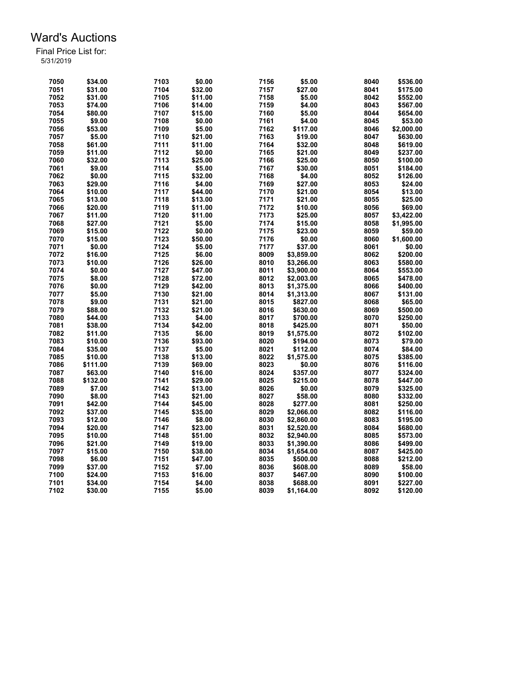| 7050 | \$34.00  | 7103 | \$0.00  | 7156 | \$5.00     | 8040 | \$536.00   |
|------|----------|------|---------|------|------------|------|------------|
| 7051 | \$31.00  | 7104 | \$32.00 | 7157 | \$27.00    | 8041 | \$175.00   |
| 7052 | \$31.00  | 7105 | \$11.00 | 7158 | \$5.00     | 8042 | \$552.00   |
| 7053 | \$74.00  | 7106 | \$14.00 | 7159 | \$4.00     | 8043 | \$567.00   |
| 7054 | \$80.00  | 7107 | \$15.00 | 7160 | \$5.00     | 8044 | \$654.00   |
| 7055 | \$9.00   | 7108 | \$0.00  | 7161 | \$4.00     | 8045 | \$53.00    |
| 7056 | \$53.00  | 7109 | \$5.00  | 7162 | \$117.00   | 8046 | \$2,000.00 |
| 7057 | \$5.00   | 7110 | \$21.00 | 7163 | \$19.00    | 8047 | \$630.00   |
| 7058 | \$61.00  | 7111 | \$11.00 | 7164 | \$32.00    | 8048 | \$619.00   |
| 7059 | \$11.00  | 7112 | \$0.00  | 7165 | \$21.00    | 8049 | \$237.00   |
| 7060 | \$32.00  | 7113 | \$25.00 | 7166 | \$25.00    | 8050 | \$100.00   |
| 7061 | \$9.00   | 7114 | \$5.00  | 7167 | \$30.00    | 8051 | \$184.00   |
| 7062 | \$0.00   | 7115 | \$32.00 | 7168 | \$4.00     | 8052 | \$126.00   |
| 7063 | \$29.00  | 7116 | \$4.00  | 7169 | \$27.00    | 8053 | \$24.00    |
| 7064 | \$10.00  | 7117 | \$44.00 | 7170 | \$21.00    | 8054 | \$13.00    |
| 7065 | \$13.00  | 7118 | \$13.00 | 7171 | \$21.00    | 8055 | \$25.00    |
|      |          | 7119 |         | 7172 |            |      | \$69.00    |
| 7066 | \$20.00  |      | \$11.00 |      | \$10.00    | 8056 |            |
| 7067 | \$11.00  | 7120 | \$11.00 | 7173 | \$25.00    | 8057 | \$3.422.00 |
| 7068 | \$27.00  | 7121 | \$5.00  | 7174 | \$15.00    | 8058 | \$1,995.00 |
| 7069 | \$15.00  | 7122 | \$0.00  | 7175 | \$23.00    | 8059 | \$59.00    |
| 7070 | \$15.00  | 7123 | \$50.00 | 7176 | \$0.00     | 8060 | \$1,600.00 |
| 7071 | \$0.00   | 7124 | \$5.00  | 7177 | \$37.00    | 8061 | \$0.00     |
| 7072 | \$16.00  | 7125 | \$6.00  | 8009 | \$3,859.00 | 8062 | \$200.00   |
| 7073 | \$10.00  | 7126 | \$26.00 | 8010 | \$3,266.00 | 8063 | \$580.00   |
| 7074 | \$0.00   | 7127 | \$47.00 | 8011 | \$3,900.00 | 8064 | \$553.00   |
| 7075 | \$8.00   | 7128 | \$72.00 | 8012 | \$2,003.00 | 8065 | \$478.00   |
| 7076 | \$0.00   | 7129 | \$42.00 | 8013 | \$1,375.00 | 8066 | \$400.00   |
| 7077 | \$5.00   | 7130 | \$21.00 | 8014 | \$1,313.00 | 8067 | \$131.00   |
| 7078 | \$9.00   | 7131 | \$21.00 | 8015 | \$827.00   | 8068 | \$65.00    |
| 7079 | \$88.00  | 7132 | \$21.00 | 8016 | \$630.00   | 8069 | \$500.00   |
| 7080 | \$44.00  | 7133 | \$4.00  | 8017 | \$700.00   | 8070 | \$250.00   |
| 7081 | \$38.00  | 7134 | \$42.00 | 8018 | \$425.00   | 8071 | \$50.00    |
| 7082 | \$11.00  | 7135 | \$6.00  | 8019 | \$1,575.00 | 8072 | \$102.00   |
| 7083 | \$10.00  | 7136 | \$93.00 | 8020 | \$194.00   | 8073 | \$79.00    |
| 7084 | \$35.00  | 7137 | \$5.00  | 8021 | \$112.00   | 8074 | \$84.00    |
| 7085 | \$10.00  | 7138 | \$13.00 | 8022 | \$1,575.00 | 8075 | \$385.00   |
| 7086 | \$111.00 | 7139 | \$69.00 | 8023 | \$0.00     | 8076 | \$116.00   |
|      | \$63.00  |      |         | 8024 |            | 8077 |            |
| 7087 |          | 7140 | \$16.00 |      | \$357.00   |      | \$324.00   |
| 7088 | \$132.00 | 7141 | \$29.00 | 8025 | \$215.00   | 8078 | \$447.00   |
| 7089 | \$7.00   | 7142 | \$13.00 | 8026 | \$0.00     | 8079 | \$325.00   |
| 7090 | \$8.00   | 7143 | \$21.00 | 8027 | \$58.00    | 8080 | \$332.00   |
| 7091 | \$42.00  | 7144 | \$45.00 | 8028 | \$277.00   | 8081 | \$250.00   |
| 7092 | \$37.00  | 7145 | \$35.00 | 8029 | \$2,066.00 | 8082 | \$116.00   |
| 7093 | \$12.00  | 7146 | \$8.00  | 8030 | \$2,860.00 | 8083 | \$195.00   |
| 7094 | \$20.00  | 7147 | \$23.00 | 8031 | \$2,520.00 | 8084 | \$680.00   |
| 7095 | \$10.00  | 7148 | \$51.00 | 8032 | \$2,940.00 | 8085 | \$573.00   |
| 7096 | \$21.00  | 7149 | \$19.00 | 8033 | \$1,390.00 | 8086 | \$499.00   |
| 7097 | \$15.00  | 7150 | \$38.00 | 8034 | \$1,654.00 | 8087 | \$425.00   |
| 7098 | \$6.00   | 7151 | \$47.00 | 8035 | \$500.00   | 8088 | \$212.00   |
| 7099 | \$37.00  | 7152 | \$7.00  | 8036 | \$608.00   | 8089 | \$58.00    |
| 7100 | \$24.00  | 7153 | \$16.00 | 8037 | \$467.00   | 8090 | \$100.00   |
| 7101 | \$34.00  | 7154 | \$4.00  | 8038 | \$688.00   | 8091 | \$227.00   |
| 7102 | \$30.00  | 7155 | \$5.00  | 8039 | \$1,164.00 | 8092 | \$120.00   |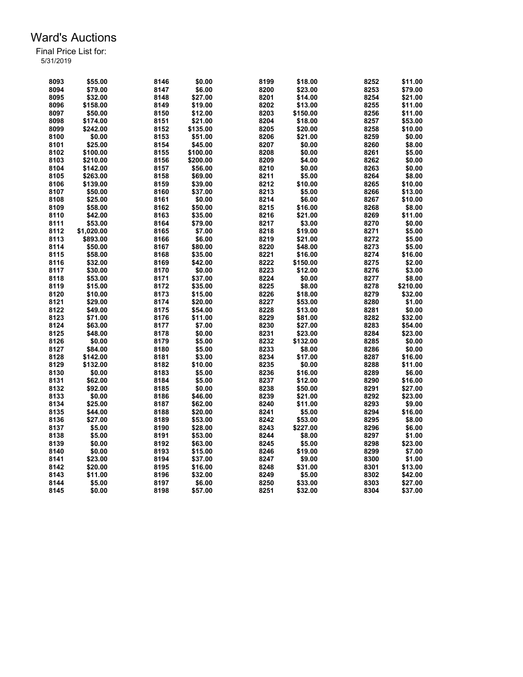| 8093 | \$55.00    | 8146 | \$0.00   | 8199 | \$18.00  | 8252 | \$11.00  |
|------|------------|------|----------|------|----------|------|----------|
| 8094 | \$79.00    | 8147 | \$6.00   | 8200 | \$23.00  | 8253 | \$79.00  |
| 8095 | \$32.00    | 8148 | \$27.00  | 8201 | \$14.00  | 8254 | \$21.00  |
| 8096 | \$158.00   | 8149 | \$19.00  | 8202 | \$13.00  | 8255 | \$11.00  |
| 8097 | \$50.00    | 8150 | \$12.00  | 8203 | \$150.00 | 8256 | \$11.00  |
| 8098 | \$174.00   | 8151 | \$21.00  | 8204 | \$18.00  | 8257 | \$53.00  |
| 8099 | \$242.00   | 8152 | \$135.00 | 8205 | \$20.00  | 8258 | \$10.00  |
| 8100 | \$0.00     | 8153 | \$51.00  | 8206 | \$21.00  | 8259 | \$0.00   |
| 8101 | \$25.00    | 8154 | \$45.00  | 8207 | \$0.00   | 8260 | \$8.00   |
| 8102 | \$100.00   | 8155 | \$100.00 | 8208 | \$0.00   | 8261 | \$5.00   |
| 8103 | \$210.00   | 8156 | \$200.00 | 8209 | \$4.00   | 8262 | \$0.00   |
| 8104 | \$142.00   | 8157 | \$56.00  | 8210 | \$0.00   | 8263 | \$0.00   |
| 8105 | \$263.00   | 8158 | \$69.00  | 8211 | \$5.00   | 8264 | \$8.00   |
| 8106 | \$139.00   | 8159 | \$39.00  | 8212 | \$10.00  | 8265 | \$10.00  |
| 8107 | \$50.00    | 8160 | \$37.00  | 8213 | \$5.00   | 8266 | \$13.00  |
| 8108 | \$25.00    | 8161 | \$0.00   | 8214 | \$6.00   | 8267 | \$10.00  |
| 8109 | \$58.00    | 8162 | \$50.00  | 8215 | \$16.00  | 8268 | \$8.00   |
| 8110 | \$42.00    | 8163 | \$35.00  | 8216 | \$21.00  | 8269 | \$11.00  |
| 8111 | \$53.00    | 8164 | \$79.00  | 8217 | \$3.00   | 8270 | \$0.00   |
|      |            | 8165 | \$7.00   | 8218 | \$19.00  | 8271 | \$5.00   |
| 8112 | \$1,020.00 |      |          | 8219 |          |      |          |
| 8113 | \$893.00   | 8166 | \$6.00   |      | \$21.00  | 8272 | \$5.00   |
| 8114 | \$50.00    | 8167 | \$80.00  | 8220 | \$48.00  | 8273 | \$5.00   |
| 8115 | \$58.00    | 8168 | \$35.00  | 8221 | \$16.00  | 8274 | \$16.00  |
| 8116 | \$32.00    | 8169 | \$42.00  | 8222 | \$150.00 | 8275 | \$2.00   |
| 8117 | \$30.00    | 8170 | \$0.00   | 8223 | \$12.00  | 8276 | \$3.00   |
| 8118 | \$53.00    | 8171 | \$37.00  | 8224 | \$0.00   | 8277 | \$8.00   |
| 8119 | \$15.00    | 8172 | \$35.00  | 8225 | \$8.00   | 8278 | \$210.00 |
| 8120 | \$10.00    | 8173 | \$15.00  | 8226 | \$18.00  | 8279 | \$32.00  |
| 8121 | \$29.00    | 8174 | \$20.00  | 8227 | \$53.00  | 8280 | \$1.00   |
| 8122 | \$49.00    | 8175 | \$54.00  | 8228 | \$13.00  | 8281 | \$0.00   |
| 8123 | \$71.00    | 8176 | \$11.00  | 8229 | \$81.00  | 8282 | \$32.00  |
| 8124 | \$63.00    | 8177 | \$7.00   | 8230 | \$27.00  | 8283 | \$54.00  |
| 8125 | \$48.00    | 8178 | \$0.00   | 8231 | \$23.00  | 8284 | \$23.00  |
| 8126 | \$0.00     | 8179 | \$5.00   | 8232 | \$132.00 | 8285 | \$0.00   |
| 8127 | \$84.00    | 8180 | \$5.00   | 8233 | \$8.00   | 8286 | \$0.00   |
| 8128 | \$142.00   | 8181 | \$3.00   | 8234 | \$17.00  | 8287 | \$16.00  |
| 8129 | \$132.00   | 8182 | \$10.00  | 8235 | \$0.00   | 8288 | \$11.00  |
| 8130 | \$0.00     | 8183 | \$5.00   | 8236 | \$16.00  | 8289 | \$6.00   |
| 8131 | \$62.00    | 8184 | \$5.00   | 8237 | \$12.00  | 8290 | \$16.00  |
| 8132 | \$92.00    | 8185 | \$0.00   | 8238 | \$50.00  | 8291 | \$27.00  |
| 8133 | \$0.00     | 8186 | \$46.00  | 8239 | \$21.00  | 8292 | \$23.00  |
| 8134 | \$25.00    | 8187 | \$62.00  | 8240 | \$11.00  | 8293 | \$9.00   |
| 8135 | \$44.00    | 8188 | \$20.00  | 8241 | \$5.00   | 8294 | \$16.00  |
| 8136 | \$27.00    | 8189 | \$53.00  | 8242 | \$53.00  | 8295 | \$8.00   |
| 8137 | \$5.00     | 8190 | \$28.00  | 8243 | \$227.00 | 8296 | \$6.00   |
| 8138 | \$5.00     | 8191 | \$53.00  | 8244 | \$8.00   | 8297 | \$1.00   |
| 8139 | \$0.00     | 8192 | \$63.00  | 8245 | \$5.00   | 8298 | \$23.00  |
| 8140 | \$0.00     | 8193 | \$15.00  | 8246 | \$19.00  | 8299 | \$7.00   |
| 8141 | \$23.00    | 8194 | \$37.00  | 8247 | \$9.00   | 8300 | \$1.00   |
| 8142 | \$20.00    | 8195 | \$16.00  | 8248 | \$31.00  | 8301 | \$13.00  |
| 8143 | \$11.00    | 8196 | \$32.00  | 8249 | \$5.00   | 8302 | \$42.00  |
| 8144 | \$5.00     | 8197 | \$6.00   | 8250 | \$33.00  | 8303 | \$27.00  |
| 8145 | \$0.00     | 8198 | \$57.00  | 8251 | \$32.00  | 8304 | \$37.00  |
|      |            |      |          |      |          |      |          |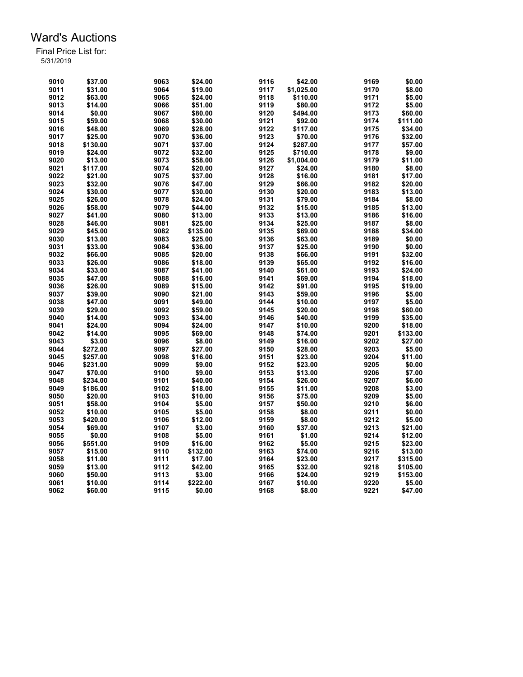| 9010 | \$37.00  | 9063 | \$24.00  | 9116         | \$42.00    | 9169         | \$0.00   |
|------|----------|------|----------|--------------|------------|--------------|----------|
| 9011 | \$31.00  | 9064 | \$19.00  | 9117         | \$1,025.00 | 9170         | \$8.00   |
| 9012 | \$63.00  | 9065 | \$24.00  | 9118         | \$110.00   | 9171         | \$5.00   |
| 9013 | \$14.00  | 9066 | \$51.00  | 9119         | \$80.00    | 9172         | \$5.00   |
| 9014 | \$0.00   | 9067 | \$80.00  | 9120         | \$494.00   | 9173         | \$60.00  |
| 9015 | \$59.00  | 9068 | \$30.00  | 9121         | \$92.00    | 9174         | \$111.00 |
| 9016 | \$48.00  | 9069 | \$28.00  | 9122         | \$117.00   | 9175         | \$34.00  |
| 9017 | \$25.00  | 9070 | \$36.00  | 9123         | \$70.00    | 9176         | \$32.00  |
| 9018 | \$130.00 | 9071 | \$37.00  | 9124         | \$287.00   | 9177         | \$57.00  |
| 9019 | \$24.00  | 9072 | \$32.00  | 9125         | \$710.00   | 9178         | \$9.00   |
| 9020 | \$13.00  | 9073 | \$58.00  | 9126         | \$1,004.00 | 9179         | \$11.00  |
| 9021 | \$117.00 | 9074 | \$20.00  | 9127         | \$24.00    | 9180         | \$8.00   |
| 9022 | \$21.00  | 9075 | \$37.00  | 9128         | \$16.00    | 9181         | \$17.00  |
| 9023 | \$32.00  | 9076 | \$47.00  | 9129         | \$66.00    | 9182         | \$20.00  |
| 9024 | \$30.00  | 9077 | \$30.00  | 9130         | \$20.00    | 9183         | \$13.00  |
| 9025 | \$26.00  | 9078 | \$24.00  | 9131         | \$79.00    | 9184         | \$8.00   |
| 9026 | \$58.00  | 9079 | \$44.00  | 9132         | \$15.00    | 9185         | \$13.00  |
| 9027 | \$41.00  | 9080 | \$13.00  | 9133         | \$13.00    | 9186         | \$16.00  |
| 9028 | \$46.00  | 9081 |          | 9134         |            | 9187         | \$8.00   |
| 9029 | \$45.00  | 9082 | \$25.00  |              | \$25.00    |              | \$34.00  |
| 9030 |          |      | \$135.00 | 9135<br>9136 | \$69.00    | 9188<br>9189 | \$0.00   |
|      | \$13.00  | 9083 | \$25.00  |              | \$63.00    | 9190         |          |
| 9031 | \$33.00  | 9084 | \$36.00  | 9137         | \$25.00    |              | \$0.00   |
| 9032 | \$66.00  | 9085 | \$20.00  | 9138         | \$66.00    | 9191         | \$32.00  |
| 9033 | \$26.00  | 9086 | \$18.00  | 9139         | \$65.00    | 9192         | \$16.00  |
| 9034 | \$33.00  | 9087 | \$41.00  | 9140         | \$61.00    | 9193         | \$24.00  |
| 9035 | \$47.00  | 9088 | \$16.00  | 9141         | \$69.00    | 9194         | \$18.00  |
| 9036 | \$26.00  | 9089 | \$15.00  | 9142         | \$91.00    | 9195         | \$19.00  |
| 9037 | \$39.00  | 9090 | \$21.00  | 9143         | \$59.00    | 9196         | \$5.00   |
| 9038 | \$47.00  | 9091 | \$49.00  | 9144         | \$10.00    | 9197         | \$5.00   |
| 9039 | \$29.00  | 9092 | \$59.00  | 9145         | \$20.00    | 9198         | \$60.00  |
| 9040 | \$14.00  | 9093 | \$34.00  | 9146         | \$40.00    | 9199         | \$35.00  |
| 9041 | \$24.00  | 9094 | \$24.00  | 9147         | \$10.00    | 9200         | \$18.00  |
| 9042 | \$14.00  | 9095 | \$69.00  | 9148         | \$74.00    | 9201         | \$133.00 |
| 9043 | \$3.00   | 9096 | \$8.00   | 9149         | \$16.00    | 9202         | \$27.00  |
| 9044 | \$272.00 | 9097 | \$27.00  | 9150         | \$28.00    | 9203         | \$5.00   |
| 9045 | \$257.00 | 9098 | \$16.00  | 9151         | \$23.00    | 9204         | \$11.00  |
| 9046 | \$231.00 | 9099 | \$9.00   | 9152         | \$23.00    | 9205         | \$0.00   |
| 9047 | \$70.00  | 9100 | \$9.00   | 9153         | \$13.00    | 9206         | \$7.00   |
| 9048 | \$234.00 | 9101 | \$40.00  | 9154         | \$26.00    | 9207         | \$6.00   |
| 9049 | \$186.00 | 9102 | \$18.00  | 9155         | \$11.00    | 9208         | \$3.00   |
| 9050 | \$20.00  | 9103 | \$10.00  | 9156         | \$75.00    | 9209         | \$5.00   |
| 9051 | \$58.00  | 9104 | \$5.00   | 9157         | \$50.00    | 9210         | \$6.00   |
| 9052 | \$10.00  | 9105 | \$5.00   | 9158         | \$8.00     | 9211         | \$0.00   |
| 9053 | \$420.00 | 9106 | \$12.00  | 9159         | \$8.00     | 9212         | \$5.00   |
| 9054 | \$69.00  | 9107 | \$3.00   | 9160         | \$37.00    | 9213         | \$21.00  |
| 9055 | \$0.00   | 9108 | \$5.00   | 9161         | \$1.00     | 9214         | \$12.00  |
| 9056 | \$551.00 | 9109 | \$16.00  | 9162         | \$5.00     | 9215         | \$23.00  |
| 9057 | \$15.00  | 9110 | \$132.00 | 9163         | \$74.00    | 9216         | \$13.00  |
| 9058 | \$11.00  | 9111 | \$17.00  | 9164         | \$23.00    | 9217         | \$315.00 |
| 9059 | \$13.00  | 9112 | \$42.00  | 9165         | \$32.00    | 9218         | \$105.00 |
| 9060 | \$50.00  | 9113 | \$3.00   | 9166         | \$24.00    | 9219         | \$153.00 |
| 9061 | \$10.00  | 9114 | \$222.00 | 9167         | \$10.00    | 9220         | \$5.00   |
| 9062 | \$60.00  | 9115 | \$0.00   | 9168         | \$8.00     | 9221         | \$47.00  |
|      |          |      |          |              |            |              |          |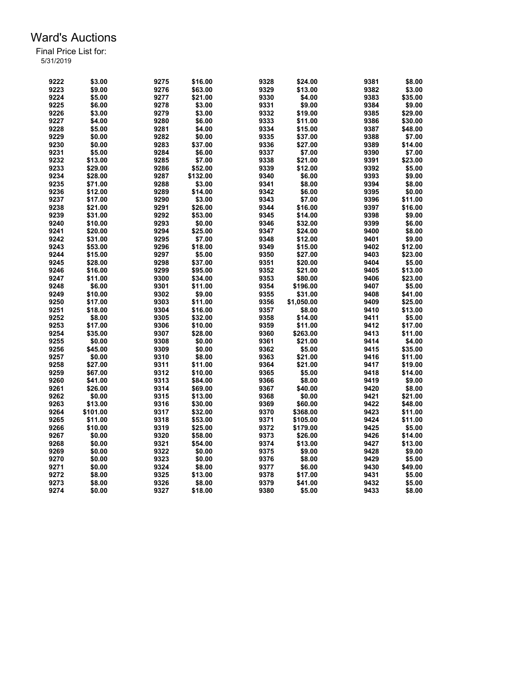| 9222 | \$3.00   | 9275 | \$16.00  | 9328 | \$24.00    | 9381 | \$8.00  |
|------|----------|------|----------|------|------------|------|---------|
| 9223 | \$9.00   | 9276 | \$63.00  | 9329 | \$13.00    | 9382 | \$3.00  |
| 9224 | \$5.00   | 9277 | \$21.00  | 9330 | \$4.00     | 9383 | \$35.00 |
| 9225 | \$6.00   | 9278 | \$3.00   | 9331 | \$9.00     | 9384 | \$9.00  |
| 9226 | \$3.00   | 9279 | \$3.00   | 9332 | \$19.00    | 9385 | \$29.00 |
| 9227 | \$4.00   | 9280 | \$6.00   | 9333 | \$11.00    | 9386 | \$30.00 |
| 9228 | \$5.00   | 9281 | \$4.00   | 9334 | \$15.00    | 9387 | \$48.00 |
| 9229 | \$0.00   | 9282 | \$0.00   | 9335 | \$37.00    | 9388 | \$7.00  |
| 9230 | \$0.00   | 9283 | \$37.00  | 9336 | \$27.00    | 9389 | \$14.00 |
| 9231 | \$5.00   | 9284 | \$6.00   | 9337 | \$7.00     | 9390 | \$7.00  |
| 9232 | \$13.00  | 9285 | \$7.00   | 9338 | \$21.00    | 9391 | \$23.00 |
|      |          |      |          |      |            |      |         |
| 9233 | \$29.00  | 9286 | \$52.00  | 9339 | \$12.00    | 9392 | \$5.00  |
| 9234 | \$28.00  | 9287 | \$132.00 | 9340 | \$6.00     | 9393 | \$9.00  |
| 9235 | \$71.00  | 9288 | \$3.00   | 9341 | \$8.00     | 9394 | \$8.00  |
| 9236 | \$12.00  | 9289 | \$14.00  | 9342 | \$6.00     | 9395 | \$0.00  |
| 9237 | \$17.00  | 9290 | \$3.00   | 9343 | \$7.00     | 9396 | \$11.00 |
| 9238 | \$21.00  | 9291 | \$26.00  | 9344 | \$16.00    | 9397 | \$16.00 |
| 9239 | \$31.00  | 9292 | \$53.00  | 9345 | \$14.00    | 9398 | \$9.00  |
| 9240 | \$10.00  | 9293 | \$0.00   | 9346 | \$32.00    | 9399 | \$6.00  |
| 9241 | \$20.00  | 9294 | \$25.00  | 9347 | \$24.00    | 9400 | \$8.00  |
| 9242 | \$31.00  | 9295 | \$7.00   | 9348 | \$12.00    | 9401 | \$9.00  |
| 9243 | \$53.00  | 9296 | \$18.00  | 9349 | \$15.00    | 9402 | \$12.00 |
| 9244 | \$15.00  | 9297 | \$5.00   | 9350 | \$27.00    | 9403 | \$23.00 |
| 9245 | \$28.00  | 9298 | \$37.00  | 9351 | \$20.00    | 9404 | \$5.00  |
| 9246 | \$16.00  | 9299 | \$95.00  | 9352 | \$21.00    | 9405 | \$13.00 |
| 9247 | \$11.00  | 9300 | \$34.00  | 9353 | \$80.00    | 9406 | \$23.00 |
| 9248 | \$6.00   | 9301 | \$11.00  | 9354 | \$196.00   | 9407 | \$5.00  |
| 9249 | \$10.00  | 9302 | \$9.00   | 9355 | \$31.00    | 9408 | \$41.00 |
| 9250 | \$17.00  | 9303 | \$11.00  | 9356 | \$1,050.00 | 9409 | \$25.00 |
| 9251 | \$18.00  | 9304 | \$16.00  | 9357 | \$8.00     | 9410 | \$13.00 |
| 9252 | \$8.00   | 9305 | \$32.00  | 9358 | \$14.00    | 9411 | \$5.00  |
| 9253 | \$17.00  | 9306 | \$10.00  | 9359 | \$11.00    | 9412 | \$17.00 |
| 9254 | \$35.00  | 9307 | \$28.00  | 9360 | \$263.00   | 9413 | \$11.00 |
| 9255 | \$0.00   | 9308 | \$0.00   | 9361 | \$21.00    | 9414 | \$4.00  |
|      |          |      |          |      |            |      |         |
| 9256 | \$45.00  | 9309 | \$0.00   | 9362 | \$5.00     | 9415 | \$35.00 |
| 9257 | \$0.00   | 9310 | \$8.00   | 9363 | \$21.00    | 9416 | \$11.00 |
| 9258 | \$27.00  | 9311 | \$11.00  | 9364 | \$21.00    | 9417 | \$19.00 |
| 9259 | \$67.00  | 9312 | \$10.00  | 9365 | \$5.00     | 9418 | \$14.00 |
| 9260 | \$41.00  | 9313 | \$84.00  | 9366 | \$8.00     | 9419 | \$9.00  |
| 9261 | \$26.00  | 9314 | \$69.00  | 9367 | \$40.00    | 9420 | \$8.00  |
| 9262 | \$0.00   | 9315 | \$13.00  | 9368 | \$0.00     | 9421 | \$21.00 |
| 9263 | \$13.00  | 9316 | \$30.00  | 9369 | \$60.00    | 9422 | \$48.00 |
| 9264 | \$101.00 | 9317 | \$32.00  | 9370 | \$368.00   | 9423 | \$11.00 |
| 9265 | \$11.00  | 9318 | \$53.00  | 9371 | \$105.00   | 9424 | \$11.00 |
| 9266 | \$10.00  | 9319 | \$25.00  | 9372 | \$179.00   | 9425 | \$5.00  |
| 9267 | \$0.00   | 9320 | \$58.00  | 9373 | \$26.00    | 9426 | \$14.00 |
| 9268 | \$0.00   | 9321 | \$54.00  | 9374 | \$13.00    | 9427 | \$13.00 |
| 9269 | \$0.00   | 9322 | \$0.00   | 9375 | \$9.00     | 9428 | \$9.00  |
| 9270 | \$0.00   | 9323 | \$0.00   | 9376 | \$8.00     | 9429 | \$5.00  |
| 9271 | \$0.00   | 9324 | \$8.00   | 9377 | \$6.00     | 9430 | \$49.00 |
| 9272 | \$8.00   | 9325 | \$13.00  | 9378 | \$17.00    | 9431 | \$5.00  |
| 9273 | \$8.00   | 9326 | \$8.00   | 9379 | \$41.00    | 9432 | \$5.00  |
| 9274 | \$0.00   | 9327 | \$18.00  | 9380 | \$5.00     | 9433 | \$8.00  |
|      |          |      |          |      |            |      |         |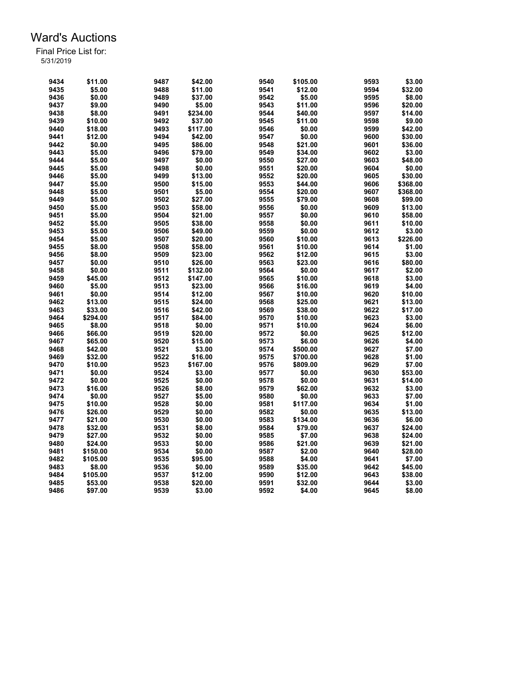| 9434 | \$11.00  | 9487 | \$42.00  | 9540 | \$105.00 | 9593 | \$3.00   |
|------|----------|------|----------|------|----------|------|----------|
| 9435 | \$5.00   | 9488 | \$11.00  | 9541 | \$12.00  | 9594 | \$32.00  |
| 9436 | \$0.00   | 9489 | \$37.00  | 9542 | \$5.00   | 9595 | \$8.00   |
| 9437 | \$9.00   | 9490 | \$5.00   | 9543 | \$11.00  | 9596 | \$20.00  |
| 9438 | \$8.00   | 9491 | \$234.00 | 9544 | \$40.00  | 9597 | \$14.00  |
| 9439 | \$10.00  | 9492 | \$37.00  | 9545 | \$11.00  | 9598 | \$9.00   |
| 9440 | \$18.00  | 9493 | \$117.00 | 9546 | \$0.00   | 9599 | \$42.00  |
| 9441 | \$12.00  | 9494 | \$42.00  | 9547 | \$0.00   | 9600 | \$30.00  |
| 9442 | \$0.00   | 9495 | \$86.00  | 9548 | \$21.00  | 9601 | \$36.00  |
| 9443 | \$5.00   | 9496 | \$79.00  | 9549 | \$34.00  | 9602 | \$3.00   |
| 9444 | \$5.00   | 9497 | \$0.00   | 9550 | \$27.00  | 9603 | \$48.00  |
| 9445 | \$5.00   | 9498 | \$0.00   | 9551 | \$20.00  | 9604 | \$0.00   |
| 9446 | \$5.00   | 9499 | \$13.00  | 9552 | \$20.00  | 9605 | \$30.00  |
| 9447 | \$5.00   | 9500 | \$15.00  | 9553 | \$44.00  | 9606 | \$368.00 |
| 9448 | \$5.00   | 9501 | \$5.00   | 9554 | \$20.00  | 9607 | \$368.00 |
| 9449 | \$5.00   | 9502 | \$27.00  | 9555 | \$79.00  | 9608 | \$99.00  |
| 9450 | \$5.00   | 9503 | \$58.00  | 9556 | \$0.00   | 9609 | \$13.00  |
| 9451 | \$5.00   | 9504 | \$21.00  | 9557 | \$0.00   | 9610 | \$58.00  |
|      |          |      |          |      |          |      |          |
| 9452 | \$5.00   | 9505 | \$38.00  | 9558 | \$0.00   | 9611 | \$10.00  |
| 9453 | \$5.00   | 9506 | \$49.00  | 9559 | \$0.00   | 9612 | \$3.00   |
| 9454 | \$5.00   | 9507 | \$20.00  | 9560 | \$10.00  | 9613 | \$226.00 |
| 9455 | \$8.00   | 9508 | \$58.00  | 9561 | \$10.00  | 9614 | \$1.00   |
| 9456 | \$8.00   | 9509 | \$23.00  | 9562 | \$12.00  | 9615 | \$3.00   |
| 9457 | \$0.00   | 9510 | \$26.00  | 9563 | \$23.00  | 9616 | \$80.00  |
| 9458 | \$0.00   | 9511 | \$132.00 | 9564 | \$0.00   | 9617 | \$2.00   |
| 9459 | \$45.00  | 9512 | \$147.00 | 9565 | \$10.00  | 9618 | \$3.00   |
| 9460 | \$5.00   | 9513 | \$23.00  | 9566 | \$16.00  | 9619 | \$4.00   |
| 9461 | \$0.00   | 9514 | \$12.00  | 9567 | \$10.00  | 9620 | \$10.00  |
| 9462 | \$13.00  | 9515 | \$24.00  | 9568 | \$25.00  | 9621 | \$13.00  |
| 9463 | \$33.00  | 9516 | \$42.00  | 9569 | \$38.00  | 9622 | \$17.00  |
| 9464 | \$294.00 | 9517 | \$84.00  | 9570 | \$10.00  | 9623 | \$3.00   |
| 9465 | \$8.00   | 9518 | \$0.00   | 9571 | \$10.00  | 9624 | \$6.00   |
| 9466 | \$66.00  | 9519 | \$20.00  | 9572 | \$0.00   | 9625 | \$12.00  |
| 9467 | \$65.00  | 9520 | \$15.00  | 9573 | \$6.00   | 9626 | \$4.00   |
| 9468 | \$42.00  | 9521 | \$3.00   | 9574 | \$500.00 | 9627 | \$7.00   |
| 9469 | \$32.00  | 9522 | \$16.00  | 9575 | \$700.00 | 9628 | \$1.00   |
| 9470 | \$10.00  | 9523 | \$167.00 | 9576 | \$809.00 | 9629 | \$7.00   |
| 9471 | \$0.00   | 9524 | \$3.00   | 9577 | \$0.00   | 9630 | \$53.00  |
| 9472 | \$0.00   | 9525 | \$0.00   | 9578 | \$0.00   | 9631 | \$14.00  |
| 9473 | \$16.00  | 9526 | \$8.00   | 9579 | \$62.00  | 9632 | \$3.00   |
| 9474 | \$0.00   | 9527 | \$5.00   | 9580 | \$0.00   | 9633 | \$7.00   |
| 9475 | \$10.00  | 9528 | \$0.00   | 9581 | \$117.00 | 9634 | \$1.00   |
| 9476 | \$26.00  | 9529 | \$0.00   | 9582 | \$0.00   | 9635 | \$13.00  |
| 9477 | \$21.00  | 9530 | \$0.00   | 9583 | \$134.00 | 9636 | \$6.00   |
| 9478 | \$32.00  | 9531 | \$8.00   | 9584 | \$79.00  | 9637 | \$24.00  |
| 9479 | \$27.00  | 9532 | \$0.00   | 9585 | \$7.00   | 9638 | \$24.00  |
| 9480 | \$24.00  | 9533 | \$0.00   | 9586 | \$21.00  | 9639 | \$21.00  |
| 9481 | \$150.00 | 9534 | \$0.00   | 9587 | \$2.00   | 9640 | \$28.00  |
| 9482 | \$105.00 | 9535 | \$95.00  | 9588 | \$4.00   | 9641 | \$7.00   |
| 9483 | \$8.00   | 9536 | \$0.00   | 9589 | \$35.00  | 9642 | \$45.00  |
| 9484 | \$105.00 | 9537 | \$12.00  | 9590 | \$12.00  | 9643 | \$38.00  |
|      | \$53.00  |      |          |      |          | 9644 | \$3.00   |
| 9485 |          | 9538 | \$20.00  | 9591 | \$32.00  |      |          |
| 9486 | \$97.00  | 9539 | \$3.00   | 9592 | \$4.00   | 9645 | \$8.00   |